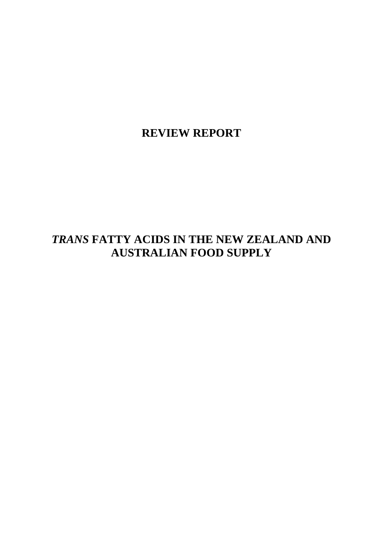**REVIEW REPORT** 

# *TRANS* **FATTY ACIDS IN THE NEW ZEALAND AND AUSTRALIAN FOOD SUPPLY**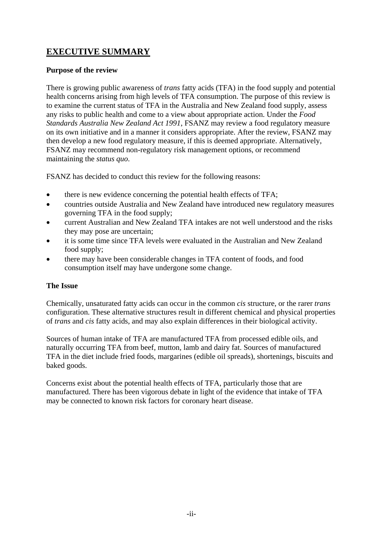## **EXECUTIVE SUMMARY**

### **Purpose of the review**

There is growing public awareness of *trans* fatty acids (TFA) in the food supply and potential health concerns arising from high levels of TFA consumption. The purpose of this review is to examine the current status of TFA in the Australia and New Zealand food supply, assess any risks to public health and come to a view about appropriate action. Under the *Food Standards Australia New Zealand Act 1991*, FSANZ may review a food regulatory measure on its own initiative and in a manner it considers appropriate. After the review, FSANZ may then develop a new food regulatory measure, if this is deemed appropriate. Alternatively, FSANZ may recommend non-regulatory risk management options, or recommend maintaining the *status quo*.

FSANZ has decided to conduct this review for the following reasons:

- there is new evidence concerning the potential health effects of TFA;
- countries outside Australia and New Zealand have introduced new regulatory measures governing TFA in the food supply;
- current Australian and New Zealand TFA intakes are not well understood and the risks they may pose are uncertain;
- it is some time since TFA levels were evaluated in the Australian and New Zealand food supply;
- there may have been considerable changes in TFA content of foods, and food consumption itself may have undergone some change.

### **The Issue**

Chemically, unsaturated fatty acids can occur in the common *cis* structure, or the rarer *trans* configuration. These alternative structures result in different chemical and physical properties of *trans* and *cis* fatty acids, and may also explain differences in their biological activity.

Sources of human intake of TFA are manufactured TFA from processed edible oils, and naturally occurring TFA from beef, mutton, lamb and dairy fat. Sources of manufactured TFA in the diet include fried foods, margarines (edible oil spreads), shortenings, biscuits and baked goods.

Concerns exist about the potential health effects of TFA, particularly those that are manufactured. There has been vigorous debate in light of the evidence that intake of TFA may be connected to known risk factors for coronary heart disease.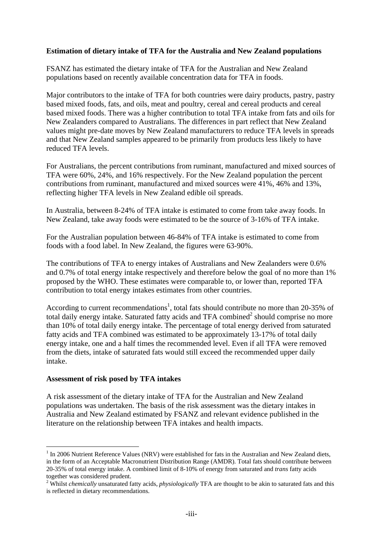#### **Estimation of dietary intake of TFA for the Australia and New Zealand populations**

FSANZ has estimated the dietary intake of TFA for the Australian and New Zealand populations based on recently available concentration data for TFA in foods.

Major contributors to the intake of TFA for both countries were dairy products, pastry, pastry based mixed foods, fats, and oils, meat and poultry, cereal and cereal products and cereal based mixed foods. There was a higher contribution to total TFA intake from fats and oils for New Zealanders compared to Australians. The differences in part reflect that New Zealand values might pre-date moves by New Zealand manufacturers to reduce TFA levels in spreads and that New Zealand samples appeared to be primarily from products less likely to have reduced TFA levels.

For Australians, the percent contributions from ruminant, manufactured and mixed sources of TFA were 60%, 24%, and 16% respectively. For the New Zealand population the percent contributions from ruminant, manufactured and mixed sources were 41%, 46% and 13%, reflecting higher TFA levels in New Zealand edible oil spreads.

In Australia, between 8-24% of TFA intake is estimated to come from take away foods. In New Zealand, take away foods were estimated to be the source of 3-16% of TFA intake.

For the Australian population between 46-84% of TFA intake is estimated to come from foods with a food label. In New Zealand, the figures were 63-90%.

The contributions of TFA to energy intakes of Australians and New Zealanders were 0.6% and 0.7% of total energy intake respectively and therefore below the goal of no more than 1% proposed by the WHO. These estimates were comparable to, or lower than, reported TFA contribution to total energy intakes estimates from other countries.

According to current recommendations<sup>1</sup>, total fats should contribute no more than 20-35% of total daily energy intake. Saturated fatty acids and TFA combined $<sup>2</sup>$  should comprise no more</sup> than 10% of total daily energy intake. The percentage of total energy derived from saturated fatty acids and TFA combined was estimated to be approximately 13-17% of total daily energy intake, one and a half times the recommended level. Even if all TFA were removed from the diets, intake of saturated fats would still exceed the recommended upper daily intake.

#### **Assessment of risk posed by TFA intakes**

1

A risk assessment of the dietary intake of TFA for the Australian and New Zealand populations was undertaken. The basis of the risk assessment was the dietary intakes in Australia and New Zealand estimated by FSANZ and relevant evidence published in the literature on the relationship between TFA intakes and health impacts.

<sup>&</sup>lt;sup>1</sup> In 2006 Nutrient Reference Values (NRV) were established for fats in the Australian and New Zealand diets, in the form of an Acceptable Macronutrient Distribution Range (AMDR). Total fats should contribute between 20-35% of total energy intake. A combined limit of 8-10% of energy from saturated and *trans* fatty acids together was considered prudent.

<sup>2</sup> Whilst *chemically* unsaturated fatty acids, *physiologically* TFA are thought to be akin to saturated fats and this is reflected in dietary recommendations.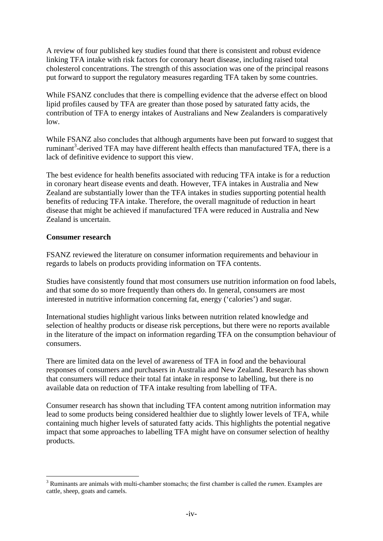A review of four published key studies found that there is consistent and robust evidence linking TFA intake with risk factors for coronary heart disease, including raised total cholesterol concentrations. The strength of this association was one of the principal reasons put forward to support the regulatory measures regarding TFA taken by some countries.

While FSANZ concludes that there is compelling evidence that the adverse effect on blood lipid profiles caused by TFA are greater than those posed by saturated fatty acids, the contribution of TFA to energy intakes of Australians and New Zealanders is comparatively low.

While FSANZ also concludes that although arguments have been put forward to suggest that ruminant<sup>3</sup>-derived TFA may have different health effects than manufactured TFA, there is a lack of definitive evidence to support this view.

The best evidence for health benefits associated with reducing TFA intake is for a reduction in coronary heart disease events and death. However, TFA intakes in Australia and New Zealand are substantially lower than the TFA intakes in studies supporting potential health benefits of reducing TFA intake. Therefore, the overall magnitude of reduction in heart disease that might be achieved if manufactured TFA were reduced in Australia and New Zealand is uncertain.

#### **Consumer research**

1

FSANZ reviewed the literature on consumer information requirements and behaviour in regards to labels on products providing information on TFA contents.

Studies have consistently found that most consumers use nutrition information on food labels, and that some do so more frequently than others do. In general, consumers are most interested in nutritive information concerning fat, energy ('calories') and sugar.

International studies highlight various links between nutrition related knowledge and selection of healthy products or disease risk perceptions, but there were no reports available in the literature of the impact on information regarding TFA on the consumption behaviour of consumers.

There are limited data on the level of awareness of TFA in food and the behavioural responses of consumers and purchasers in Australia and New Zealand. Research has shown that consumers will reduce their total fat intake in response to labelling, but there is no available data on reduction of TFA intake resulting from labelling of TFA.

Consumer research has shown that including TFA content among nutrition information may lead to some products being considered healthier due to slightly lower levels of TFA, while containing much higher levels of saturated fatty acids. This highlights the potential negative impact that some approaches to labelling TFA might have on consumer selection of healthy products.

<sup>3</sup> Ruminants are animals with multi-chamber stomachs; the first chamber is called the *rumen*. Examples are cattle, sheep, goats and camels.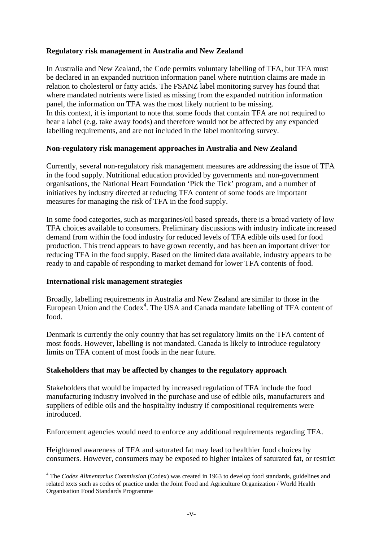### **Regulatory risk management in Australia and New Zealand**

In Australia and New Zealand, the Code permits voluntary labelling of TFA, but TFA must be declared in an expanded nutrition information panel where nutrition claims are made in relation to cholesterol or fatty acids. The FSANZ label monitoring survey has found that where mandated nutrients were listed as missing from the expanded nutrition information panel, the information on TFA was the most likely nutrient to be missing. In this context, it is important to note that some foods that contain TFA are not required to bear a label (e.g. take away foods) and therefore would not be affected by any expanded labelling requirements, and are not included in the label monitoring survey.

#### **Non-regulatory risk management approaches in Australia and New Zealand**

Currently, several non-regulatory risk management measures are addressing the issue of TFA in the food supply. Nutritional education provided by governments and non-government organisations, the National Heart Foundation 'Pick the Tick' program, and a number of initiatives by industry directed at reducing TFA content of some foods are important measures for managing the risk of TFA in the food supply.

In some food categories, such as margarines/oil based spreads, there is a broad variety of low TFA choices available to consumers. Preliminary discussions with industry indicate increased demand from within the food industry for reduced levels of TFA edible oils used for food production. This trend appears to have grown recently, and has been an important driver for reducing TFA in the food supply. Based on the limited data available, industry appears to be ready to and capable of responding to market demand for lower TFA contents of food.

#### **International risk management strategies**

1

Broadly, labelling requirements in Australia and New Zealand are similar to those in the European Union and the Codex<sup>4</sup>. The USA and Canada mandate labelling of TFA content of food.

Denmark is currently the only country that has set regulatory limits on the TFA content of most foods. However, labelling is not mandated. Canada is likely to introduce regulatory limits on TFA content of most foods in the near future.

#### **Stakeholders that may be affected by changes to the regulatory approach**

Stakeholders that would be impacted by increased regulation of TFA include the food manufacturing industry involved in the purchase and use of edible oils, manufacturers and suppliers of edible oils and the hospitality industry if compositional requirements were introduced.

Enforcement agencies would need to enforce any additional requirements regarding TFA.

Heightened awareness of TFA and saturated fat may lead to healthier food choices by consumers. However, consumers may be exposed to higher intakes of saturated fat, or restrict

<sup>&</sup>lt;sup>4</sup> The *Codex Alimentarius Commission* (Codex) was created in 1963 to develop food standards, guidelines and related texts such as codes of practice under the Joint Food and Agriculture Organization / World Health Organisation Food Standards Programme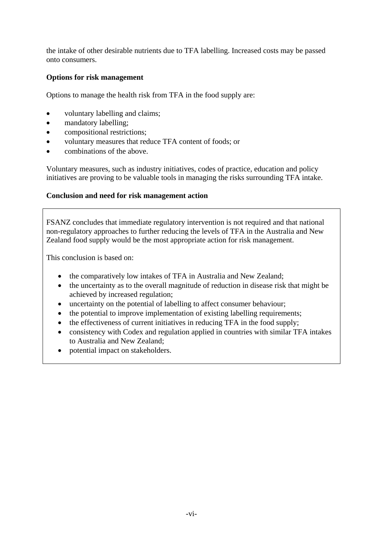the intake of other desirable nutrients due to TFA labelling. Increased costs may be passed onto consumers.

#### **Options for risk management**

Options to manage the health risk from TFA in the food supply are:

- voluntary labelling and claims;
- mandatory labelling;
- compositional restrictions;
- voluntary measures that reduce TFA content of foods; or
- combinations of the above.

Voluntary measures, such as industry initiatives, codes of practice, education and policy initiatives are proving to be valuable tools in managing the risks surrounding TFA intake.

#### **Conclusion and need for risk management action**

FSANZ concludes that immediate regulatory intervention is not required and that national non-regulatory approaches to further reducing the levels of TFA in the Australia and New Zealand food supply would be the most appropriate action for risk management.

This conclusion is based on:

- the comparatively low intakes of TFA in Australia and New Zealand;
- the uncertainty as to the overall magnitude of reduction in disease risk that might be achieved by increased regulation;
- uncertainty on the potential of labelling to affect consumer behaviour;
- the potential to improve implementation of existing labelling requirements;
- the effectiveness of current initiatives in reducing TFA in the food supply;
- consistency with Codex and regulation applied in countries with similar TFA intakes to Australia and New Zealand;
- potential impact on stakeholders.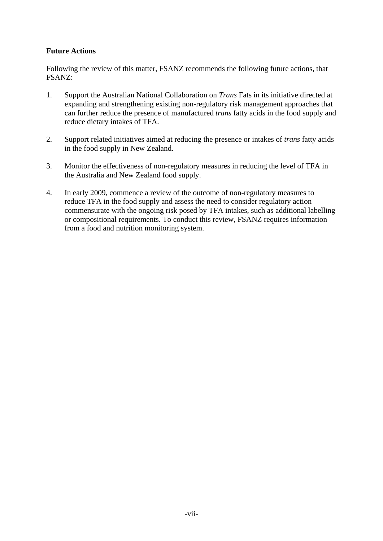### **Future Actions**

Following the review of this matter, FSANZ recommends the following future actions, that FSANZ:

- 1. Support the Australian National Collaboration on *Trans* Fats in its initiative directed at expanding and strengthening existing non-regulatory risk management approaches that can further reduce the presence of manufactured *trans* fatty acids in the food supply and reduce dietary intakes of TFA.
- 2. Support related initiatives aimed at reducing the presence or intakes of *trans* fatty acids in the food supply in New Zealand.
- 3. Monitor the effectiveness of non-regulatory measures in reducing the level of TFA in the Australia and New Zealand food supply.
- 4. In early 2009, commence a review of the outcome of non-regulatory measures to reduce TFA in the food supply and assess the need to consider regulatory action commensurate with the ongoing risk posed by TFA intakes, such as additional labelling or compositional requirements. To conduct this review, FSANZ requires information from a food and nutrition monitoring system.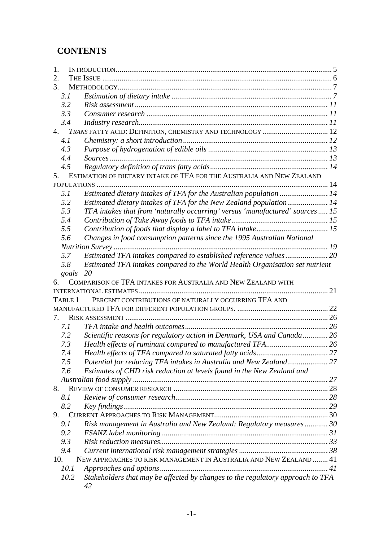## **CONTENTS**

| 1.      |                                                                                |  |
|---------|--------------------------------------------------------------------------------|--|
| 2.      |                                                                                |  |
| 3.      |                                                                                |  |
| 3.1     |                                                                                |  |
| 3.2     |                                                                                |  |
| 3.3     |                                                                                |  |
| 3.4     |                                                                                |  |
| 4.      | TRANS FATTY ACID: DEFINITION, CHEMISTRY AND TECHNOLOGY  12                     |  |
| 4.1     |                                                                                |  |
| 4.3     |                                                                                |  |
| 4.4     |                                                                                |  |
| 4.5     |                                                                                |  |
| 5.      | ESTIMATION OF DIETARY INTAKE OF TFA FOR THE AUSTRALIA AND NEW ZEALAND          |  |
|         |                                                                                |  |
| 5.1     | Estimated dietary intakes of TFA for the Australian population  14             |  |
| 5.2     | Estimated dietary intakes of TFA for the New Zealand population 14             |  |
| 5.3     | TFA intakes that from 'naturally occurring' versus 'manufactured' sources 15   |  |
| 5.4     |                                                                                |  |
| 5.5     |                                                                                |  |
| 5.6     | Changes in food consumption patterns since the 1995 Australian National        |  |
|         |                                                                                |  |
| 5.7     | Estimated TFA intakes compared to established reference values 20              |  |
| 5.8     | Estimated TFA intakes compared to the World Health Organisation set nutrient   |  |
| goals   | 20                                                                             |  |
| 6.      | COMPARISON OF TFA INTAKES FOR AUSTRALIA AND NEW ZEALAND WITH                   |  |
|         |                                                                                |  |
| TABLE 1 | PERCENT CONTRIBUTIONS OF NATURALLY OCCURRING TFA AND                           |  |
|         |                                                                                |  |
| 7.      |                                                                                |  |
| 7.1     |                                                                                |  |
| 7.2     | Scientific reasons for regulatory action in Denmark, USA and Canada 26         |  |
| 7.3     |                                                                                |  |
| 7.4     |                                                                                |  |
| 7.5     | Potential for reducing TFA intakes in Australia and New Zealand 27             |  |
| 7.6     | Estimates of CHD risk reduction at levels found in the New Zealand and         |  |
|         |                                                                                |  |
| 8.      |                                                                                |  |
| 8.1     |                                                                                |  |
| 8.2     |                                                                                |  |
| 9.      |                                                                                |  |
| 9.1     | Risk management in Australia and New Zealand: Regulatory measures 30           |  |
| 9.2     |                                                                                |  |
| 9.3     |                                                                                |  |
| 9.4     |                                                                                |  |
| 10.     | NEW APPROACHES TO RISK MANAGEMENT IN AUSTRALIA AND NEW ZEALAND 41              |  |
| 10.1    |                                                                                |  |
| 10.2    | Stakeholders that may be affected by changes to the regulatory approach to TFA |  |
|         | 42                                                                             |  |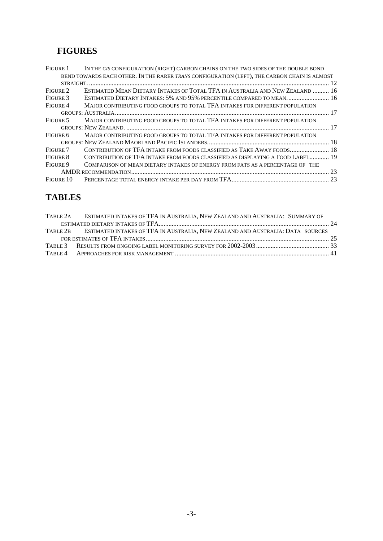## **FIGURES**

| <b>FIGURE 1</b> | IN THE CIS CONFIGURATION (RIGHT) CARBON CHAINS ON THE TWO SIDES OF THE DOUBLE BOND           |    |
|-----------------|----------------------------------------------------------------------------------------------|----|
|                 | BEND TOWARDS EACH OTHER. IN THE RARER TRANS CONFIGURATION (LEFT), THE CARBON CHAIN IS ALMOST |    |
|                 |                                                                                              |    |
| FIGURE 2        | ESTIMATED MEAN DIETARY INTAKES OF TOTAL TFA IN AUSTRALIA AND NEW ZEALAND  16                 |    |
| FIGURE 3        | ESTIMATED DIETARY INTAKES: 5% AND 95% PERCENTILE COMPARED TO MEAN 16                         |    |
| FIGURE 4        | MAJOR CONTRIBUTING FOOD GROUPS TO TOTAL TFA INTAKES FOR DIFFERENT POPULATION                 |    |
|                 |                                                                                              |    |
| FIGURE 5        | MAJOR CONTRIBUTING FOOD GROUPS TO TOTAL TFA INTAKES FOR DIFFERENT POPULATION                 |    |
|                 |                                                                                              |    |
| FIGURE 6        | MAJOR CONTRIBUTING FOOD GROUPS TO TOTAL TFA INTAKES FOR DIFFERENT POPULATION                 |    |
|                 |                                                                                              |    |
| FIGURE 7        | CONTRIBUTION OF TFA INTAKE FROM FOODS CLASSIFIED AS TAKE AWAY FOODS 18                       |    |
| FIGURE 8        | CONTRIBUTION OF TFA INTAKE FROM FOODS CLASSIFIED AS DISPLAYING A FOOD LABEL 19               |    |
| FIGURE 9        | COMPARISON OF MEAN DIETARY INTAKES OF ENERGY FROM FATS AS A PERCENTAGE OF THE                |    |
|                 |                                                                                              | 23 |
| Figure 10       |                                                                                              |    |

## **TABLES**

| TABLE 2A ESTIMATED INTAKES OF TFA IN AUSTRALIA, NEW ZEALAND AND AUSTRALIA: SUMMARY OF   |  |
|-----------------------------------------------------------------------------------------|--|
|                                                                                         |  |
| TABLE 2B ESTIMATED INTAKES OF TFA IN AUSTRALIA, NEW ZEALAND AND AUSTRALIA: DATA SOURCES |  |
|                                                                                         |  |
|                                                                                         |  |
|                                                                                         |  |
|                                                                                         |  |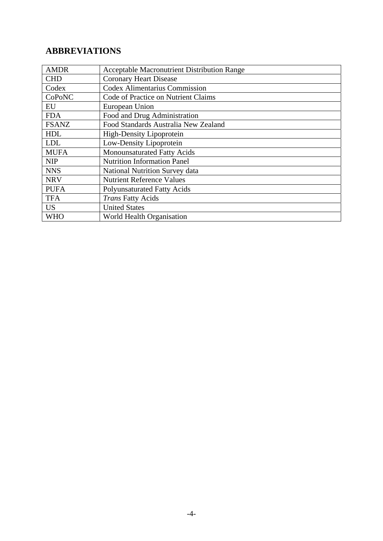## **ABBREVIATIONS**

| <b>AMDR</b>  | <b>Acceptable Macronutrient Distribution Range</b> |
|--------------|----------------------------------------------------|
| <b>CHD</b>   | <b>Coronary Heart Disease</b>                      |
| Codex        | <b>Codex Alimentarius Commission</b>               |
| CoPoNC       | Code of Practice on Nutrient Claims                |
| EU           | European Union                                     |
| <b>FDA</b>   | Food and Drug Administration                       |
| <b>FSANZ</b> | Food Standards Australia New Zealand               |
| <b>HDL</b>   | High-Density Lipoprotein                           |
| <b>LDL</b>   | Low-Density Lipoprotein                            |
| <b>MUFA</b>  | Monounsaturated Fatty Acids                        |
| <b>NIP</b>   | <b>Nutrition Information Panel</b>                 |
| <b>NNS</b>   | <b>National Nutrition Survey data</b>              |
| <b>NRV</b>   | <b>Nutrient Reference Values</b>                   |
| <b>PUFA</b>  | <b>Polyunsaturated Fatty Acids</b>                 |
| <b>TFA</b>   | Trans Fatty Acids                                  |
| <b>US</b>    | <b>United States</b>                               |
| <b>WHO</b>   | World Health Organisation                          |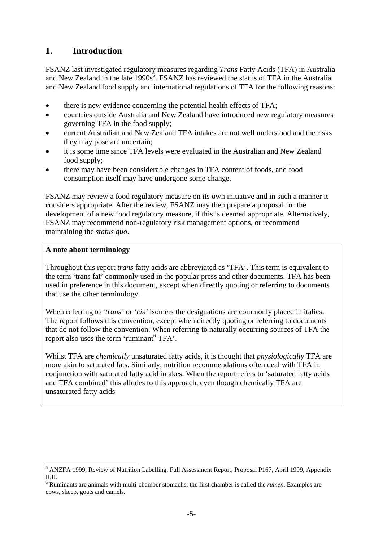### **1. Introduction**

FSANZ last investigated regulatory measures regarding *Trans* Fatty Acids (TFA) in Australia and New Zealand in the late 1990s<sup>5</sup>. FSANZ has reviewed the status of TFA in the Australia and New Zealand food supply and international regulations of TFA for the following reasons:

- there is new evidence concerning the potential health effects of TFA;
- countries outside Australia and New Zealand have introduced new regulatory measures governing TFA in the food supply;
- current Australian and New Zealand TFA intakes are not well understood and the risks they may pose are uncertain;
- it is some time since TFA levels were evaluated in the Australian and New Zealand food supply;
- there may have been considerable changes in TFA content of foods, and food consumption itself may have undergone some change.

FSANZ may review a food regulatory measure on its own initiative and in such a manner it considers appropriate. After the review, FSANZ may then prepare a proposal for the development of a new food regulatory measure, if this is deemed appropriate. Alternatively, FSANZ may recommend non-regulatory risk management options, or recommend maintaining the *status quo*.

#### **A note about terminology**

Throughout this report *trans* fatty acids are abbreviated as 'TFA'. This term is equivalent to the term 'trans fat' commonly used in the popular press and other documents. TFA has been used in preference in this document, except when directly quoting or referring to documents that use the other terminology.

When referring to '*trans'* or '*cis'* isomers the designations are commonly placed in italics. The report follows this convention, except when directly quoting or referring to documents that do not follow the convention. When referring to naturally occurring sources of TFA the report also uses the term 'ruminant<sup>6</sup> TFA'.

Whilst TFA are *chemically* unsaturated fatty acids, it is thought that *physiologically* TFA are more akin to saturated fats. Similarly, nutrition recommendations often deal with TFA in conjunction with saturated fatty acid intakes. When the report refers to 'saturated fatty acids and TFA combined' this alludes to this approach, even though chemically TFA are unsaturated fatty acids

<sup>&</sup>lt;u>.</u> <sup>5</sup> ANZFA 1999, Review of Nutrition Labelling, Full Assessment Report, Proposal P167, April 1999, Appendix II,II.

<sup>6</sup> Ruminants are animals with multi-chamber stomachs; the first chamber is called the *rumen*. Examples are cows, sheep, goats and camels.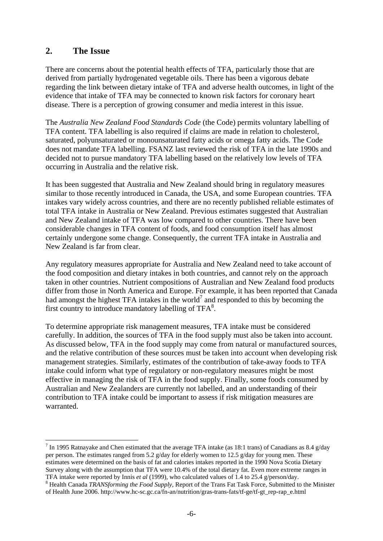### **2. The Issue**

<u>.</u>

There are concerns about the potential health effects of TFA, particularly those that are derived from partially hydrogenated vegetable oils. There has been a vigorous debate regarding the link between dietary intake of TFA and adverse health outcomes, in light of the evidence that intake of TFA may be connected to known risk factors for coronary heart disease. There is a perception of growing consumer and media interest in this issue.

The *Australia New Zealand Food Standards Code* (the Code) permits voluntary labelling of TFA content. TFA labelling is also required if claims are made in relation to cholesterol, saturated, polyunsaturated or monounsaturated fatty acids or omega fatty acids. The Code does not mandate TFA labelling. FSANZ last reviewed the risk of TFA in the late 1990s and decided not to pursue mandatory TFA labelling based on the relatively low levels of TFA occurring in Australia and the relative risk.

It has been suggested that Australia and New Zealand should bring in regulatory measures similar to those recently introduced in Canada, the USA, and some European countries. TFA intakes vary widely across countries, and there are no recently published reliable estimates of total TFA intake in Australia or New Zealand. Previous estimates suggested that Australian and New Zealand intake of TFA was low compared to other countries. There have been considerable changes in TFA content of foods, and food consumption itself has almost certainly undergone some change. Consequently, the current TFA intake in Australia and New Zealand is far from clear.

Any regulatory measures appropriate for Australia and New Zealand need to take account of the food composition and dietary intakes in both countries, and cannot rely on the approach taken in other countries. Nutrient compositions of Australian and New Zealand food products differ from those in North America and Europe. For example, it has been reported that Canada had amongst the highest TFA intakes in the world<sup>7</sup> and responded to this by becoming the first country to introduce mandatory labelling of TFA<sup>8</sup>.

To determine appropriate risk management measures, TFA intake must be considered carefully. In addition, the sources of TFA in the food supply must also be taken into account. As discussed below, TFA in the food supply may come from natural or manufactured sources, and the relative contribution of these sources must be taken into account when developing risk management strategies. Similarly, estimates of the contribution of take-away foods to TFA intake could inform what type of regulatory or non-regulatory measures might be most effective in managing the risk of TFA in the food supply. Finally, some foods consumed by Australian and New Zealanders are currently not labelled, and an understanding of their contribution to TFA intake could be important to assess if risk mitigation measures are warranted.

<sup>&</sup>lt;sup>7</sup> In 1995 Ratnayake and Chen estimated that the average TFA intake (as 18:1 trans) of Canadians as 8.4 g/day per person. The estimates ranged from 5.2 g/day for elderly women to 12.5 g/day for young men. These estimates were determined on the basis of fat and calories intakes reported in the 1990 Nova Scotia Dietary Survey along with the assumption that TFA were 10.4% of the total dietary fat. Even more extreme ranges in TFA intake were reported by Innis *et al* (1999), who calculated values of 1.4 to 25.4 g/person/day. 8

<sup>&</sup>lt;sup>8</sup> Health Canada *TRANSforming the Food Supply*, Report of the Trans Fat Task Force, Submitted to the Minister of Health June 2006. http://www.hc-sc.gc.ca/fn-an/nutrition/gras-trans-fats/tf-ge/tf-gt\_rep-rap\_e.html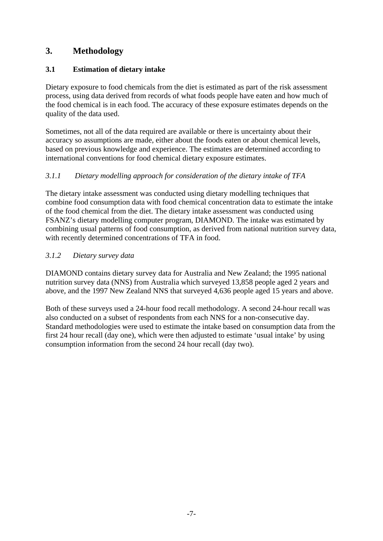## **3. Methodology**

### **3.1 Estimation of dietary intake**

Dietary exposure to food chemicals from the diet is estimated as part of the risk assessment process, using data derived from records of what foods people have eaten and how much of the food chemical is in each food. The accuracy of these exposure estimates depends on the quality of the data used.

Sometimes, not all of the data required are available or there is uncertainty about their accuracy so assumptions are made, either about the foods eaten or about chemical levels, based on previous knowledge and experience. The estimates are determined according to international conventions for food chemical dietary exposure estimates.

### *3.1.1 Dietary modelling approach for consideration of the dietary intake of TFA*

The dietary intake assessment was conducted using dietary modelling techniques that combine food consumption data with food chemical concentration data to estimate the intake of the food chemical from the diet. The dietary intake assessment was conducted using FSANZ's dietary modelling computer program, DIAMOND. The intake was estimated by combining usual patterns of food consumption, as derived from national nutrition survey data, with recently determined concentrations of TFA in food.

### *3.1.2 Dietary survey data*

DIAMOND contains dietary survey data for Australia and New Zealand; the 1995 national nutrition survey data (NNS) from Australia which surveyed 13,858 people aged 2 years and above, and the 1997 New Zealand NNS that surveyed 4,636 people aged 15 years and above.

Both of these surveys used a 24-hour food recall methodology. A second 24-hour recall was also conducted on a subset of respondents from each NNS for a non-consecutive day. Standard methodologies were used to estimate the intake based on consumption data from the first 24 hour recall (day one), which were then adjusted to estimate 'usual intake' by using consumption information from the second 24 hour recall (day two).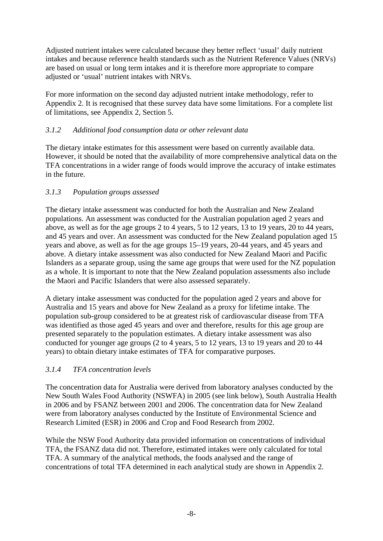Adjusted nutrient intakes were calculated because they better reflect 'usual' daily nutrient intakes and because reference health standards such as the Nutrient Reference Values (NRVs) are based on usual or long term intakes and it is therefore more appropriate to compare adjusted or 'usual' nutrient intakes with NRVs.

For more information on the second day adjusted nutrient intake methodology, refer to Appendix 2. It is recognised that these survey data have some limitations. For a complete list of limitations, see Appendix 2, Section 5.

### *3.1.2 Additional food consumption data or other relevant data*

The dietary intake estimates for this assessment were based on currently available data. However, it should be noted that the availability of more comprehensive analytical data on the TFA concentrations in a wider range of foods would improve the accuracy of intake estimates in the future.

### *3.1.3 Population groups assessed*

The dietary intake assessment was conducted for both the Australian and New Zealand populations. An assessment was conducted for the Australian population aged 2 years and above, as well as for the age groups 2 to 4 years, 5 to 12 years, 13 to 19 years, 20 to 44 years, and 45 years and over. An assessment was conducted for the New Zealand population aged 15 years and above, as well as for the age groups 15–19 years, 20-44 years, and 45 years and above. A dietary intake assessment was also conducted for New Zealand Maori and Pacific Islanders as a separate group, using the same age groups that were used for the NZ population as a whole. It is important to note that the New Zealand population assessments also include the Maori and Pacific Islanders that were also assessed separately.

A dietary intake assessment was conducted for the population aged 2 years and above for Australia and 15 years and above for New Zealand as a proxy for lifetime intake. The population sub-group considered to be at greatest risk of cardiovascular disease from TFA was identified as those aged 45 years and over and therefore, results for this age group are presented separately to the population estimates. A dietary intake assessment was also conducted for younger age groups (2 to 4 years, 5 to 12 years, 13 to 19 years and 20 to 44 years) to obtain dietary intake estimates of TFA for comparative purposes.

### *3.1.4 TFA concentration levels*

The concentration data for Australia were derived from laboratory analyses conducted by the New South Wales Food Authority (NSWFA) in 2005 (see link below), South Australia Health in 2006 and by FSANZ between 2001 and 2006. The concentration data for New Zealand were from laboratory analyses conducted by the Institute of Environmental Science and Research Limited (ESR) in 2006 and Crop and Food Research from 2002.

While the NSW Food Authority data provided information on concentrations of individual TFA, the FSANZ data did not. Therefore, estimated intakes were only calculated for total TFA. A summary of the analytical methods, the foods analysed and the range of concentrations of total TFA determined in each analytical study are shown in Appendix 2.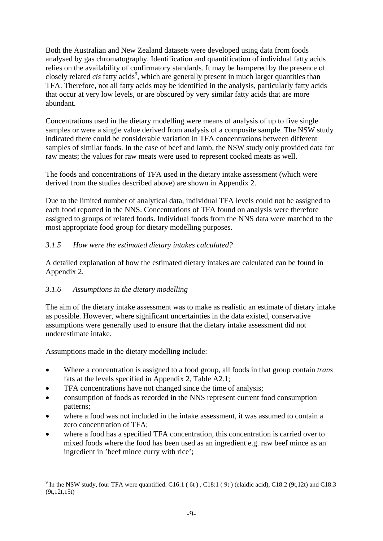Both the Australian and New Zealand datasets were developed using data from foods analysed by gas chromatography. Identification and quantification of individual fatty acids relies on the availability of confirmatory standards. It may be hampered by the presence of closely related *cis* fatty acids<sup>9</sup>, which are generally present in much larger quantities than TFA. Therefore, not all fatty acids may be identified in the analysis, particularly fatty acids that occur at very low levels, or are obscured by very similar fatty acids that are more abundant.

Concentrations used in the dietary modelling were means of analysis of up to five single samples or were a single value derived from analysis of a composite sample. The NSW study indicated there could be considerable variation in TFA concentrations between different samples of similar foods. In the case of beef and lamb, the NSW study only provided data for raw meats; the values for raw meats were used to represent cooked meats as well.

The foods and concentrations of TFA used in the dietary intake assessment (which were derived from the studies described above) are shown in Appendix 2.

Due to the limited number of analytical data, individual TFA levels could not be assigned to each food reported in the NNS. Concentrations of TFA found on analysis were therefore assigned to groups of related foods. Individual foods from the NNS data were matched to the most appropriate food group for dietary modelling purposes.

### *3.1.5 How were the estimated dietary intakes calculated?*

A detailed explanation of how the estimated dietary intakes are calculated can be found in Appendix 2.

#### *3.1.6 Assumptions in the dietary modelling*

The aim of the dietary intake assessment was to make as realistic an estimate of dietary intake as possible. However, where significant uncertainties in the data existed, conservative assumptions were generally used to ensure that the dietary intake assessment did not underestimate intake.

Assumptions made in the dietary modelling include:

1

- Where a concentration is assigned to a food group, all foods in that group contain *trans* fats at the levels specified in Appendix 2, Table A2.1;
- TFA concentrations have not changed since the time of analysis;
- consumption of foods as recorded in the NNS represent current food consumption patterns;
- where a food was not included in the intake assessment, it was assumed to contain a zero concentration of TFA;
- where a food has a specified TFA concentration, this concentration is carried over to mixed foods where the food has been used as an ingredient e.g. raw beef mince as an ingredient in 'beef mince curry with rice';

<sup>&</sup>lt;sup>9</sup> In the NSW study, four TFA were quantified: C16:1 (6t), C18:1 (9t) (elaidic acid), C18:2 (9t,12t) and C18:3 (9t,12t,15t)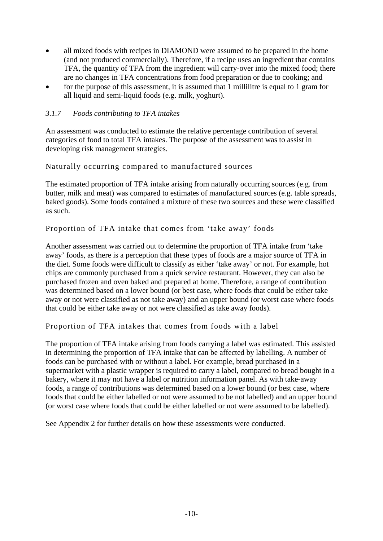- all mixed foods with recipes in DIAMOND were assumed to be prepared in the home (and not produced commercially). Therefore, if a recipe uses an ingredient that contains TFA, the quantity of TFA from the ingredient will carry-over into the mixed food; there are no changes in TFA concentrations from food preparation or due to cooking; and
- for the purpose of this assessment, it is assumed that 1 millilitre is equal to 1 gram for all liquid and semi-liquid foods (e.g. milk, yoghurt).

#### *3.1.7 Foods contributing to TFA intakes*

An assessment was conducted to estimate the relative percentage contribution of several categories of food to total TFA intakes. The purpose of the assessment was to assist in developing risk management strategies.

Naturally occurring compared to manufactured sources

The estimated proportion of TFA intake arising from naturally occurring sources (e.g. from butter, milk and meat) was compared to estimates of manufactured sources (e.g. table spreads, baked goods). Some foods contained a mixture of these two sources and these were classified as such.

#### Proportion of TFA intake that comes from 'take away' foods

Another assessment was carried out to determine the proportion of TFA intake from 'take away' foods, as there is a perception that these types of foods are a major source of TFA in the diet. Some foods were difficult to classify as either 'take away' or not. For example, hot chips are commonly purchased from a quick service restaurant. However, they can also be purchased frozen and oven baked and prepared at home. Therefore, a range of contribution was determined based on a lower bound (or best case, where foods that could be either take away or not were classified as not take away) and an upper bound (or worst case where foods that could be either take away or not were classified as take away foods).

Proportion of TFA intakes that comes from foods with a label

The proportion of TFA intake arising from foods carrying a label was estimated. This assisted in determining the proportion of TFA intake that can be affected by labelling. A number of foods can be purchased with or without a label. For example, bread purchased in a supermarket with a plastic wrapper is required to carry a label, compared to bread bought in a bakery, where it may not have a label or nutrition information panel. As with take-away foods, a range of contributions was determined based on a lower bound (or best case, where foods that could be either labelled or not were assumed to be not labelled) and an upper bound (or worst case where foods that could be either labelled or not were assumed to be labelled).

See Appendix 2 for further details on how these assessments were conducted.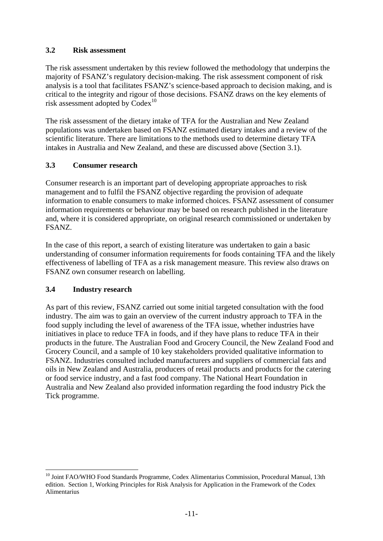### **3.2 Risk assessment**

The risk assessment undertaken by this review followed the methodology that underpins the majority of FSANZ's regulatory decision-making. The risk assessment component of risk analysis is a tool that facilitates FSANZ's science-based approach to decision making, and is critical to the integrity and rigour of those decisions. FSANZ draws on the key elements of risk assessment adopted by Codex<sup>10</sup>

The risk assessment of the dietary intake of TFA for the Australian and New Zealand populations was undertaken based on FSANZ estimated dietary intakes and a review of the scientific literature. There are limitations to the methods used to determine dietary TFA intakes in Australia and New Zealand, and these are discussed above (Section 3.1).

### **3.3 Consumer research**

Consumer research is an important part of developing appropriate approaches to risk management and to fulfil the FSANZ objective regarding the provision of adequate information to enable consumers to make informed choices. FSANZ assessment of consumer information requirements or behaviour may be based on research published in the literature and, where it is considered appropriate, on original research commissioned or undertaken by FSANZ.

In the case of this report, a search of existing literature was undertaken to gain a basic understanding of consumer information requirements for foods containing TFA and the likely effectiveness of labelling of TFA as a risk management measure. This review also draws on FSANZ own consumer research on labelling.

#### **3.4 Industry research**

1

As part of this review, FSANZ carried out some initial targeted consultation with the food industry. The aim was to gain an overview of the current industry approach to TFA in the food supply including the level of awareness of the TFA issue, whether industries have initiatives in place to reduce TFA in foods, and if they have plans to reduce TFA in their products in the future. The Australian Food and Grocery Council, the New Zealand Food and Grocery Council, and a sample of 10 key stakeholders provided qualitative information to FSANZ. Industries consulted included manufacturers and suppliers of commercial fats and oils in New Zealand and Australia, producers of retail products and products for the catering or food service industry, and a fast food company. The National Heart Foundation in Australia and New Zealand also provided information regarding the food industry Pick the Tick programme.

<sup>&</sup>lt;sup>10</sup> Joint FAO/WHO Food Standards Programme, Codex Alimentarius Commission, Procedural Manual, 13th edition. Section 1, Working Principles for Risk Analysis for Application in the Framework of the Codex Alimentarius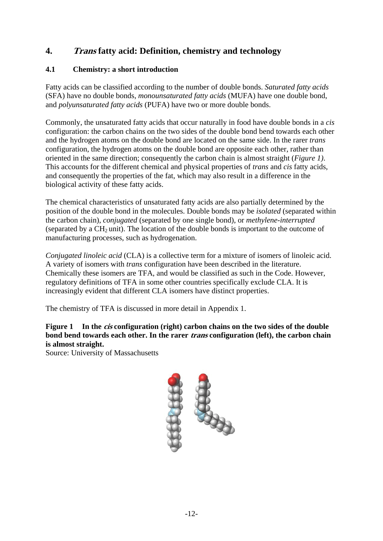## **4. Trans fatty acid: Definition, chemistry and technology**

### **4.1 Chemistry: a short introduction**

Fatty acids can be classified according to the number of double bonds. *Saturated fatty acids* (SFA) have no double bonds, *monounsaturated fatty acids* (MUFA) have one double bond, and *polyunsaturated fatty acids* (PUFA) have two or more double bonds.

Commonly, the unsaturated fatty acids that occur naturally in food have double bonds in a *cis* configuration: the carbon chains on the two sides of the double bond bend towards each other and the hydrogen atoms on the double bond are located on the same side. In the rarer *trans* configuration, the hydrogen atoms on the double bond are opposite each other, rather than oriented in the same direction; consequently the carbon chain is almost straight (*Figure 1)*. This accounts for the different chemical and physical properties of *trans* and *cis* fatty acids, and consequently the properties of the fat, which may also result in a difference in the biological activity of these fatty acids.

The chemical characteristics of unsaturated fatty acids are also partially determined by the position of the double bond in the molecules. Double bonds may be *isolated* (separated within the carbon chain), *conjugated* (separated by one single bond), or *methylene-interrupted*  (separated by a  $CH<sub>2</sub>$  unit). The location of the double bonds is important to the outcome of manufacturing processes, such as hydrogenation.

*Conjugated linoleic acid* (CLA) is a collective term for a mixture of isomers of linoleic acid. A variety of isomers with *trans* configuration have been described in the literature. Chemically these isomers are TFA, and would be classified as such in the Code. However, regulatory definitions of TFA in some other countries specifically exclude CLA. It is increasingly evident that different CLA isomers have distinct properties.

The chemistry of TFA is discussed in more detail in Appendix 1.

### **Figure 1 In the cis configuration (right) carbon chains on the two sides of the double bond bend towards each other. In the rarer trans configuration (left), the carbon chain is almost straight.**

Source: University of Massachusetts

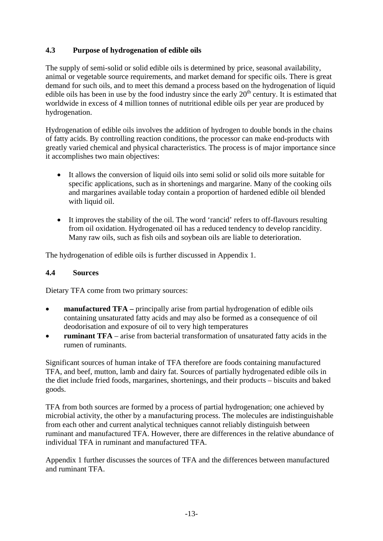### **4.3 Purpose of hydrogenation of edible oils**

The supply of semi-solid or solid edible oils is determined by price, seasonal availability, animal or vegetable source requirements, and market demand for specific oils. There is great demand for such oils, and to meet this demand a process based on the hydrogenation of liquid edible oils has been in use by the food industry since the early  $20<sup>th</sup>$  century. It is estimated that worldwide in excess of 4 million tonnes of nutritional edible oils per year are produced by hydrogenation.

Hydrogenation of edible oils involves the addition of hydrogen to double bonds in the chains of fatty acids. By controlling reaction conditions, the processor can make end-products with greatly varied chemical and physical characteristics. The process is of major importance since it accomplishes two main objectives:

- It allows the conversion of liquid oils into semi solid or solid oils more suitable for specific applications, such as in shortenings and margarine. Many of the cooking oils and margarines available today contain a proportion of hardened edible oil blended with liquid oil.
- It improves the stability of the oil. The word 'rancid' refers to off-flavours resulting from oil oxidation. Hydrogenated oil has a reduced tendency to develop rancidity. Many raw oils, such as fish oils and soybean oils are liable to deterioration.

The hydrogenation of edible oils is further discussed in Appendix 1.

### **4.4 Sources**

Dietary TFA come from two primary sources:

- **manufactured TFA** principally arise from partial hydrogenation of edible oils containing unsaturated fatty acids and may also be formed as a consequence of oil deodorisation and exposure of oil to very high temperatures
- **ruminant TFA** arise from bacterial transformation of unsaturated fatty acids in the rumen of ruminants.

Significant sources of human intake of TFA therefore are foods containing manufactured TFA, and beef, mutton, lamb and dairy fat. Sources of partially hydrogenated edible oils in the diet include fried foods, margarines, shortenings, and their products – biscuits and baked goods.

TFA from both sources are formed by a process of partial hydrogenation; one achieved by microbial activity, the other by a manufacturing process. The molecules are indistinguishable from each other and current analytical techniques cannot reliably distinguish between ruminant and manufactured TFA. However, there are differences in the relative abundance of individual TFA in ruminant and manufactured TFA.

Appendix 1 further discusses the sources of TFA and the differences between manufactured and ruminant TFA.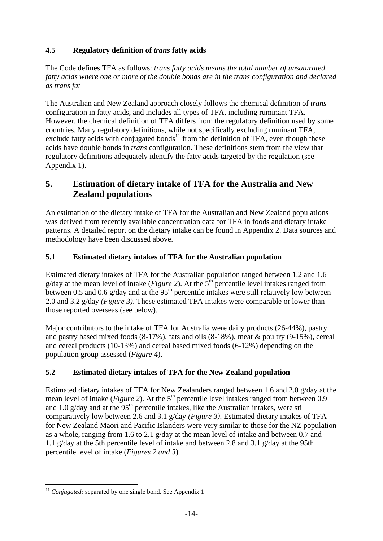### **4.5 Regulatory definition of** *trans* **fatty acids**

The Code defines TFA as follows: *trans fatty acids means the total number of unsaturated fatty acids where one or more of the double bonds are in the trans configuration and declared as trans fat* 

The Australian and New Zealand approach closely follows the chemical definition of *trans*  configuration in fatty acids, and includes all types of TFA, including ruminant TFA. However, the chemical definition of TFA differs from the regulatory definition used by some countries. Many regulatory definitions, while not specifically excluding ruminant TFA, exclude fatty acids with conjugated bonds<sup>11</sup> from the definition of TFA, even though these acids have double bonds in *trans* configuration. These definitions stem from the view that regulatory definitions adequately identify the fatty acids targeted by the regulation (see Appendix 1).

## **5. Estimation of dietary intake of TFA for the Australia and New Zealand populations**

An estimation of the dietary intake of TFA for the Australian and New Zealand populations was derived from recently available concentration data for TFA in foods and dietary intake patterns. A detailed report on the dietary intake can be found in Appendix 2. Data sources and methodology have been discussed above.

### **5.1 Estimated dietary intakes of TFA for the Australian population**

Estimated dietary intakes of TFA for the Australian population ranged between 1.2 and 1.6 g/day at the mean level of intake (*Figure 2*). At the  $5<sup>th</sup>$  percentile level intakes ranged from between 0.5 and 0.6 g/day and at the  $95<sup>th</sup>$  percentile intakes were still relatively low between 2.0 and 3.2 g/day *(Figure 3)*. These estimated TFA intakes were comparable or lower than those reported overseas (see below).

Major contributors to the intake of TFA for Australia were dairy products (26-44%), pastry and pastry based mixed foods (8-17%), fats and oils (8-18%), meat & poultry (9-15%), cereal and cereal products (10-13%) and cereal based mixed foods (6-12%) depending on the population group assessed (*Figure 4*).

### **5.2 Estimated dietary intakes of TFA for the New Zealand population**

Estimated dietary intakes of TFA for New Zealanders ranged between 1.6 and 2.0 g/day at the mean level of intake (*Figure 2*). At the  $5<sup>th</sup>$  percentile level intakes ranged from between 0.9 and 1.0 g/day and at the  $95<sup>th</sup>$  percentile intakes, like the Australian intakes, were still comparatively low between 2.6 and 3.1 g/day *(Figure 3)*. Estimated dietary intakes of TFA for New Zealand Maori and Pacific Islanders were very similar to those for the NZ population as a whole, ranging from 1.6 to 2.1 g/day at the mean level of intake and between 0.7 and 1.1 g/day at the 5th percentile level of intake and between 2.8 and 3.1 g/day at the 95th percentile level of intake (*Figures 2 and 3*).

<u>.</u>

<sup>&</sup>lt;sup>11</sup> *Conjugated:* separated by one single bond. See Appendix 1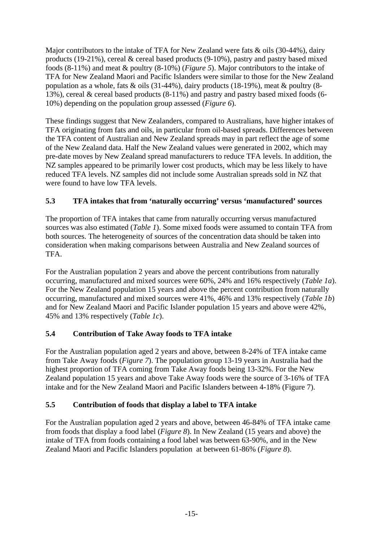Major contributors to the intake of TFA for New Zealand were fats  $\&$  oils (30-44%), dairy products (19-21%), cereal & cereal based products (9-10%), pastry and pastry based mixed foods (8-11%) and meat & poultry (8-10%) (*Figure 5*). Major contributors to the intake of TFA for New Zealand Maori and Pacific Islanders were similar to those for the New Zealand population as a whole, fats & oils (31-44%), dairy products (18-19%), meat & poultry (8- 13%), cereal & cereal based products (8-11%) and pastry and pastry based mixed foods (6- 10%) depending on the population group assessed (*Figure 6*).

These findings suggest that New Zealanders, compared to Australians, have higher intakes of TFA originating from fats and oils, in particular from oil-based spreads. Differences between the TFA content of Australian and New Zealand spreads may in part reflect the age of some of the New Zealand data. Half the New Zealand values were generated in 2002, which may pre-date moves by New Zealand spread manufacturers to reduce TFA levels. In addition, the NZ samples appeared to be primarily lower cost products, which may be less likely to have reduced TFA levels. NZ samples did not include some Australian spreads sold in NZ that were found to have low TFA levels.

### **5.3 TFA intakes that from 'naturally occurring' versus 'manufactured' sources**

The proportion of TFA intakes that came from naturally occurring versus manufactured sources was also estimated (*Table 1*). Some mixed foods were assumed to contain TFA from both sources. The heterogeneity of sources of the concentration data should be taken into consideration when making comparisons between Australia and New Zealand sources of TFA.

For the Australian population 2 years and above the percent contributions from naturally occurring, manufactured and mixed sources were 60%, 24% and 16% respectively (*Table 1a*). For the New Zealand population 15 years and above the percent contribution from naturally occurring, manufactured and mixed sources were 41%, 46% and 13% respectively (*Table 1b*) and for New Zealand Maori and Pacific Islander population 15 years and above were 42%, 45% and 13% respectively (*Table 1c*).

### **5.4 Contribution of Take Away foods to TFA intake**

For the Australian population aged 2 years and above, between 8-24% of TFA intake came from Take Away foods (*Figure 7*). The population group 13-19 years in Australia had the highest proportion of TFA coming from Take Away foods being 13-32%. For the New Zealand population 15 years and above Take Away foods were the source of 3-16% of TFA intake and for the New Zealand Maori and Pacific Islanders between 4-18% (Figure 7).

### **5.5 Contribution of foods that display a label to TFA intake**

For the Australian population aged 2 years and above, between 46-84% of TFA intake came from foods that display a food label (*Figure 8*). In New Zealand (15 years and above) the intake of TFA from foods containing a food label was between 63-90%, and in the New Zealand Maori and Pacific Islanders population at between 61-86% (*Figure 8*).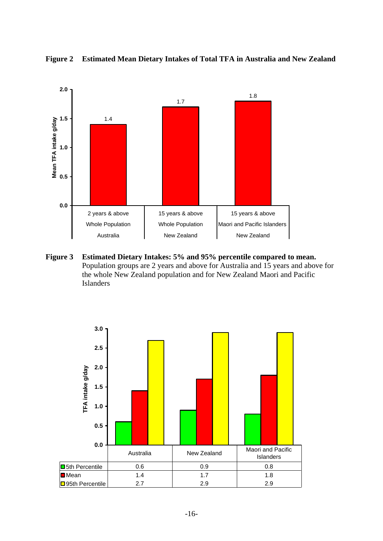

**Figure 2 Estimated Mean Dietary Intakes of Total TFA in Australia and New Zealand** 

**Figure 3 Estimated Dietary Intakes: 5% and 95% percentile compared to mean.**  Population groups are 2 years and above for Australia and 15 years and above for the whole New Zealand population and for New Zealand Maori and Pacific Islanders

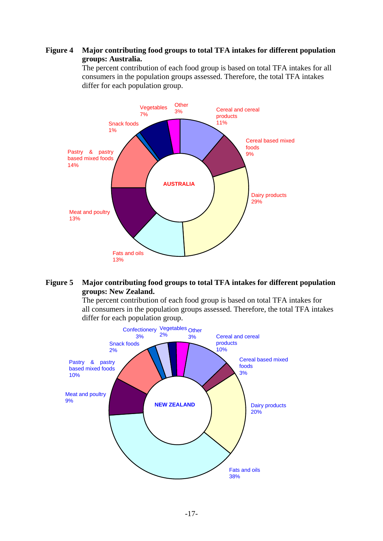#### **Figure 4 Major contributing food groups to total TFA intakes for different population groups: Australia.**

 The percent contribution of each food group is based on total TFA intakes for all consumers in the population groups assessed. Therefore, the total TFA intakes differ for each population group.



#### **Figure 5 Major contributing food groups to total TFA intakes for different population groups: New Zealand.**

 The percent contribution of each food group is based on total TFA intakes for all consumers in the population groups assessed. Therefore, the total TFA intakes differ for each population group.

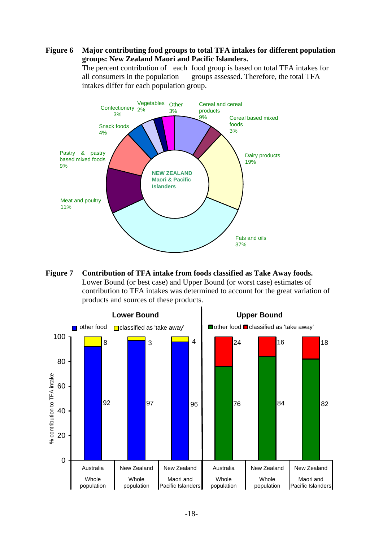#### **Figure 6 Major contributing food groups to total TFA intakes for different population groups: New Zealand Maori and Pacific Islanders.**

 The percent contribution of each food group is based on total TFA intakes for all consumers in the population groups assessed. Therefore, the total TFA intakes differ for each population group.



**Figure 7 Contribution of TFA intake from foods classified as Take Away foods.**  Lower Bound (or best case) and Upper Bound (or worst case) estimates of contribution to TFA intakes was determined to account for the great variation of products and sources of these products.

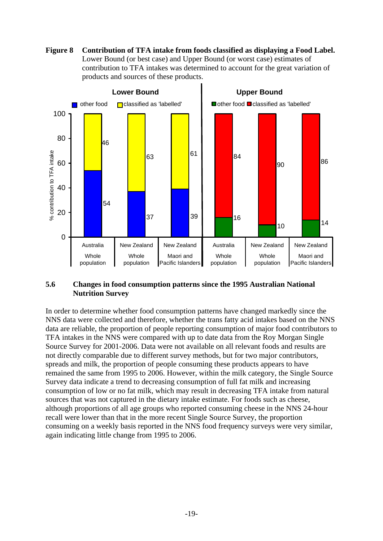



#### **5.6 Changes in food consumption patterns since the 1995 Australian National Nutrition Survey**

In order to determine whether food consumption patterns have changed markedly since the NNS data were collected and therefore, whether the trans fatty acid intakes based on the NNS data are reliable, the proportion of people reporting consumption of major food contributors to TFA intakes in the NNS were compared with up to date data from the Roy Morgan Single Source Survey for 2001-2006. Data were not available on all relevant foods and results are not directly comparable due to different survey methods, but for two major contributors, spreads and milk, the proportion of people consuming these products appears to have remained the same from 1995 to 2006. However, within the milk category, the Single Source Survey data indicate a trend to decreasing consumption of full fat milk and increasing consumption of low or no fat milk, which may result in decreasing TFA intake from natural sources that was not captured in the dietary intake estimate. For foods such as cheese, although proportions of all age groups who reported consuming cheese in the NNS 24-hour recall were lower than that in the more recent Single Source Survey, the proportion consuming on a weekly basis reported in the NNS food frequency surveys were very similar, again indicating little change from 1995 to 2006.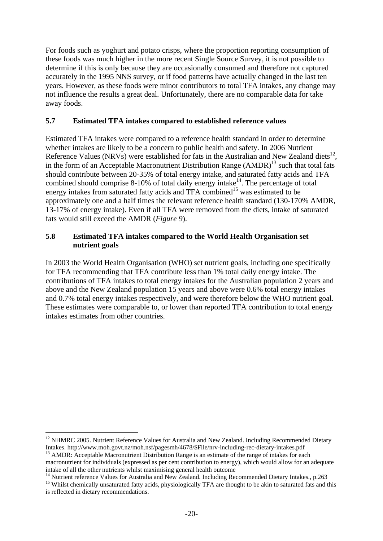For foods such as yoghurt and potato crisps, where the proportion reporting consumption of these foods was much higher in the more recent Single Source Survey, it is not possible to determine if this is only because they are occasionally consumed and therefore not captured accurately in the 1995 NNS survey, or if food patterns have actually changed in the last ten years. However, as these foods were minor contributors to total TFA intakes, any change may not influence the results a great deal. Unfortunately, there are no comparable data for take away foods.

#### **5.7 Estimated TFA intakes compared to established reference values**

Estimated TFA intakes were compared to a reference health standard in order to determine whether intakes are likely to be a concern to public health and safety. In 2006 Nutrient Reference Values (NRVs) were established for fats in the Australian and New Zealand diets<sup>12</sup>. in the form of an Acceptable Macronutrient Distribution Range (AMDR)<sup>13</sup> such that total fats should contribute between 20-35% of total energy intake, and saturated fatty acids and TFA combined should comprise 8-10% of total daily energy intake<sup>14</sup>. The percentage of total energy intakes from saturated fatty acids and TFA combined<sup>15</sup> was estimated to be approximately one and a half times the relevant reference health standard (130-170% AMDR, 13-17% of energy intake). Even if all TFA were removed from the diets, intake of saturated fats would still exceed the AMDR (*Figure 9*).

#### **5.8 Estimated TFA intakes compared to the World Health Organisation set nutrient goals**

In 2003 the World Health Organisation (WHO) set nutrient goals, including one specifically for TFA recommending that TFA contribute less than 1% total daily energy intake. The contributions of TFA intakes to total energy intakes for the Australian population 2 years and above and the New Zealand population 15 years and above were 0.6% total energy intakes and 0.7% total energy intakes respectively, and were therefore below the WHO nutrient goal. These estimates were comparable to, or lower than reported TFA contribution to total energy intakes estimates from other countries.

1

 $12$  NHMRC 2005. Nutrient Reference Values for Australia and New Zealand. Including Recommended Dietary Intakes. http://www.moh.govt.nz/moh.nsf/pagesmh/4678/\$File/nrv-including-rec-dietary-intakes.pdf <sup>13</sup> AMDR: Acceptable Macronutrient Distribution Range is an estimate of the range of intakes for each

macronutrient for individuals (expressed as per cent contribution to energy), which would allow for an adequate intake of all the other nutrients whilst maximising general health outcome

<sup>&</sup>lt;sup>14</sup> Nutrient reference Values for Australia and New Zealand. Including Recommended Dietary Intakes., p.263 <sup>15</sup> Whilst chemically unsaturated fatty acids, physiologically TFA are thought to be akin to saturated fats and

is reflected in dietary recommendations.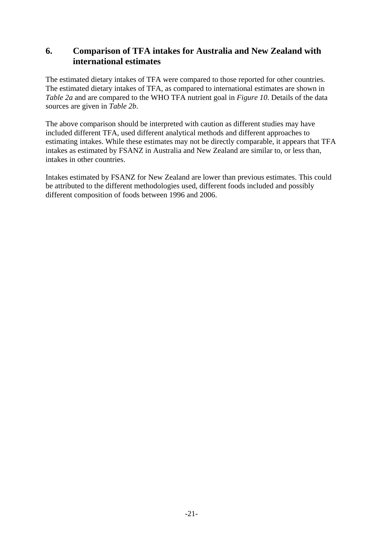## **6. Comparison of TFA intakes for Australia and New Zealand with international estimates**

The estimated dietary intakes of TFA were compared to those reported for other countries. The estimated dietary intakes of TFA, as compared to international estimates are shown in *Table 2a* and are compared to the WHO TFA nutrient goal in *Figure 10*. Details of the data sources are given in *Table 2b*.

The above comparison should be interpreted with caution as different studies may have included different TFA, used different analytical methods and different approaches to estimating intakes. While these estimates may not be directly comparable, it appears that TFA intakes as estimated by FSANZ in Australia and New Zealand are similar to, or less than, intakes in other countries.

Intakes estimated by FSANZ for New Zealand are lower than previous estimates. This could be attributed to the different methodologies used, different foods included and possibly different composition of foods between 1996 and 2006.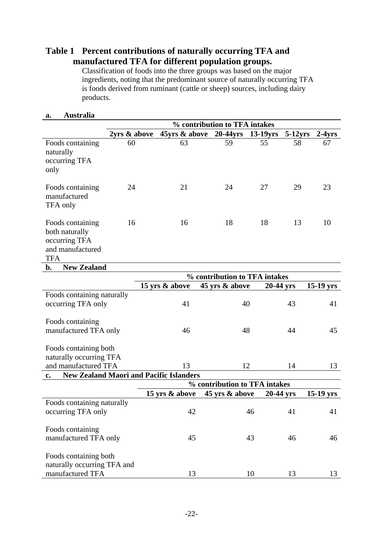### **Table 1 Percent contributions of naturally occurring TFA and manufactured TFA for different population groups.**

 Classification of foods into the three groups was based on the major ingredients, noting that the predominant source of naturally occurring TFA is foods derived from ruminant (cattle or sheep) sources, including dairy products.

|                                                                                                  |              |                           | % contribution to TFA intakes |             |         |             |
|--------------------------------------------------------------------------------------------------|--------------|---------------------------|-------------------------------|-------------|---------|-------------|
|                                                                                                  | 2yrs & above | $45yrs \& above$ 20-44yrs |                               | $13-19$ yrs | 5-12yrs | $2-4yrs$    |
| Foods containing<br>naturally<br>occurring TFA<br>only                                           | 60           | 63                        | 59                            | 55          | 58      | 67          |
| Foods containing<br>manufactured<br>TFA only                                                     | 24           | 21                        | 24                            | 27          | 29      | 23          |
| 16<br>Foods containing<br>both naturally<br>occurring TFA<br>and manufactured<br><b>TFA</b>      |              | 16                        | 18                            | 18          | 13      | 10          |
| <b>New Zealand</b><br>b.                                                                         |              |                           |                               |             |         |             |
|                                                                                                  |              |                           | % contribution to TFA intakes |             |         |             |
|                                                                                                  |              | 15 yrs & above            | 45 yrs & above                | 20-44 yrs   |         | $15-19$ yrs |
| Foods containing naturally<br>occurring TFA only                                                 |              | 41                        | 40                            |             | 43      | 41          |
| Foods containing<br>manufactured TFA only                                                        |              | 46                        | 48                            |             | 44      | 45          |
| Foods containing both                                                                            |              |                           |                               |             |         |             |
| naturally occurring TFA                                                                          |              |                           |                               |             |         |             |
| and manufactured TFA                                                                             |              | 13                        | 12                            |             | 14      | 13          |
| <b>New Zealand Maori and Pacific Islanders</b><br>$c_{\bullet}$<br>% contribution to TFA intakes |              |                           |                               |             |         |             |
|                                                                                                  |              |                           |                               |             |         |             |
|                                                                                                  |              | 15 yrs & above            | 45 yrs & above                | 20-44 yrs   |         | $15-19$ yrs |
| Foods containing naturally<br>occurring TFA only                                                 |              | 42                        |                               | 46          | 41      | 41          |
| Foods containing<br>manufactured TFA only                                                        |              | 45                        |                               | 43          | 46      | 46          |
| Foods containing both<br>naturally occurring TFA and<br>manufactured TFA                         |              | 13                        |                               | 10          | 13      | 13          |

#### **a. Australia**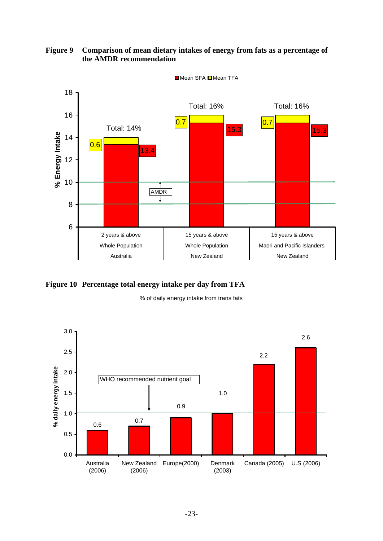**Figure 9 Comparison of mean dietary intakes of energy from fats as a percentage of the AMDR recommendation** 



**Figure 10 Percentage total energy intake per day from TFA** 

% of daily energy intake from trans fats

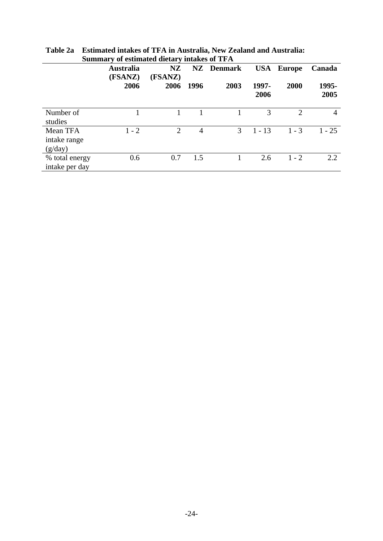|                                     | <b>Australia</b><br>(FSANZ) | <b>NZ</b><br>(FSANZ) |      | <b>NZ</b> Denmark |               | <b>USA</b> Europe | Canada        |
|-------------------------------------|-----------------------------|----------------------|------|-------------------|---------------|-------------------|---------------|
|                                     | 2006                        | 2006                 | 1996 | 2003              | 1997-<br>2006 | 2000              | 1995-<br>2005 |
| Number of<br>studies                |                             |                      |      |                   | 3             | $\mathcal{D}$     | 4             |
| Mean TFA<br>intake range<br>(g/day) | $1 - 2$                     | $\overline{2}$       | 4    | 3                 | $1 - 13$      | $1 - 3$           | $1 - 25$      |
| % total energy<br>intake per day    | 0.6                         | 0.7                  | 1.5  |                   | 2.6           | $1 - 2$           | 2.2           |

**Table 2a Estimated intakes of TFA in Australia, New Zealand and Australia: Summary of estimated dietary intakes of TFA**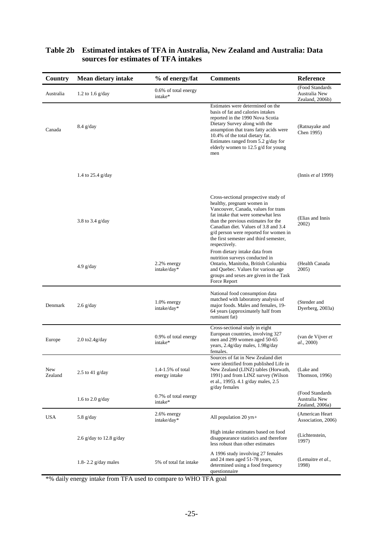| Country        | <b>Mean dietary intake</b> | % of energy/fat                    | <b>Comments</b>                                                                                                                                                                                                                                                                                                                    | Reference                                            |
|----------------|----------------------------|------------------------------------|------------------------------------------------------------------------------------------------------------------------------------------------------------------------------------------------------------------------------------------------------------------------------------------------------------------------------------|------------------------------------------------------|
| Australia      | 1.2 to 1.6 $g/day$         | 0.6% of total energy<br>intake*    |                                                                                                                                                                                                                                                                                                                                    | (Food Standards<br>Australia New<br>Zealand, 2006b)  |
| Canada         | $8.4$ g/day                |                                    | Estimates were determined on the<br>basis of fat and calories intakes<br>reported in the 1990 Nova Scotia<br>Dietary Survey along with the<br>assumption that trans fatty acids were<br>10.4% of the total dietary fat.<br>Estimates ranged from 5.2 g/day for<br>elderly women to 12.5 g/d for young<br>men                       | (Ratnayake and<br>Chen 1995)                         |
|                | 1.4 to $25.4$ g/day        |                                    |                                                                                                                                                                                                                                                                                                                                    | (Innis et al 1999)                                   |
|                | 3.8 to 3.4 $g/day$         |                                    | Cross-sectional prospective study of<br>healthy, pregnant women in<br>Vancouver, Canada, values for trans<br>fat intake that were somewhat less<br>than the previous estimates for the<br>Canadian diet. Values of 3.8 and 3.4<br>g/d person were reported for women in<br>the first semester and third semester,<br>respectively. | (Elias and Innis)<br>2002)                           |
|                | $4.9$ g/day                | 2.2% energy<br>intake/day*         | From dietary intake data from<br>nutrition surveys conducted in<br>Ontario, Manitoba, British Columbia<br>and Quebec. Values for various age<br>groups and sexes are given in the Task<br>Force Report                                                                                                                             | (Health Canada)<br>2005)                             |
| Denmark        | $2.6$ g/day                | 1.0% energy<br>intake/day*         | National food consumption data<br>matched with laboratory analysis of<br>major foods. Males and females, 19-<br>64 years (approximately half from<br>ruminant fat)                                                                                                                                                                 | (Stender and<br>Dyerberg, 2003a)                     |
| Europe         | $2.0$ to $2.4$ g/day       | 0.9% of total energy<br>intake*    | Cross-sectional study in eight<br>European countries, involving 327<br>men and 299 women aged 50-65<br>years, 2.4g/day males, 1.98g/day<br>females.                                                                                                                                                                                | (van de Vijver et<br>al., 2000)                      |
| New<br>Zealand | 2.5 to 41 $g/day$          | 1.4-1.5% of total<br>energy intake | Sources of fat in New Zealand diet<br>were identified from published Life in<br>New Zealand (LINZ) tables (Horwath,<br>1991) and from LINZ survey (Wilson<br>et al., 1995). 4.1 g/day males, 2.5<br>g/day females                                                                                                                  | (Lake and<br>Thomson, 1996)                          |
|                | 1.6 to 2.0 $g/day$         | 0.7% of total energy<br>intake*    |                                                                                                                                                                                                                                                                                                                                    | (Food Standards)<br>Australia New<br>Zealand, 2006a) |
| <b>USA</b>     | 5.8 $g/day$                | 2.6% energy<br>intake/day*         | All population $20 \text{ yrs}+$                                                                                                                                                                                                                                                                                                   | (American Heart)<br>Association, 2006)               |
|                | 2.6 g/day to 12.8 g/day    |                                    | High intake estimates based on food<br>disappearance statistics and therefore<br>less robust than other estimates                                                                                                                                                                                                                  | (Lichtenstein,<br>1997)                              |
|                | 1.8-2.2 $g/day$ males      | 5% of total fat intake             | A 1996 study involving 27 females<br>and 24 men aged 51-78 years,<br>determined using a food frequency<br>questionnaire                                                                                                                                                                                                            | (Lemaitre <i>et al.</i> ,<br>1998)                   |

### **Table 2b Estimated intakes of TFA in Australia, New Zealand and Australia: Data sources for estimates of TFA intakes**

\*% daily energy intake from TFA used to compare to WHO TFA goal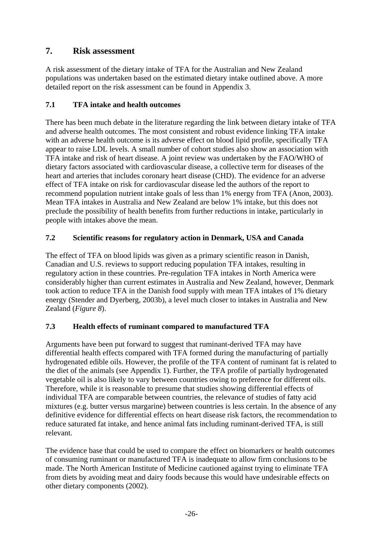## **7. Risk assessment**

A risk assessment of the dietary intake of TFA for the Australian and New Zealand populations was undertaken based on the estimated dietary intake outlined above. A more detailed report on the risk assessment can be found in Appendix 3.

### **7.1 TFA intake and health outcomes**

There has been much debate in the literature regarding the link between dietary intake of TFA and adverse health outcomes. The most consistent and robust evidence linking TFA intake with an adverse health outcome is its adverse effect on blood lipid profile, specifically TFA appear to raise LDL levels. A small number of cohort studies also show an association with TFA intake and risk of heart disease. A joint review was undertaken by the FAO/WHO of dietary factors associated with cardiovascular disease, a collective term for diseases of the heart and arteries that includes coronary heart disease (CHD). The evidence for an adverse effect of TFA intake on risk for cardiovascular disease led the authors of the report to recommend population nutrient intake goals of less than 1% energy from TFA (Anon, 2003). Mean TFA intakes in Australia and New Zealand are below 1% intake, but this does not preclude the possibility of health benefits from further reductions in intake, particularly in people with intakes above the mean.

### **7.2 Scientific reasons for regulatory action in Denmark, USA and Canada**

The effect of TFA on blood lipids was given as a primary scientific reason in Danish, Canadian and U.S. reviews to support reducing population TFA intakes, resulting in regulatory action in these countries. Pre-regulation TFA intakes in North America were considerably higher than current estimates in Australia and New Zealand, however, Denmark took action to reduce TFA in the Danish food supply with mean TFA intakes of 1% dietary energy (Stender and Dyerberg, 2003b), a level much closer to intakes in Australia and New Zealand (*Figure 8*).

### **7.3 Health effects of ruminant compared to manufactured TFA**

Arguments have been put forward to suggest that ruminant-derived TFA may have differential health effects compared with TFA formed during the manufacturing of partially hydrogenated edible oils. However, the profile of the TFA content of ruminant fat is related to the diet of the animals (see Appendix 1). Further, the TFA profile of partially hydrogenated vegetable oil is also likely to vary between countries owing to preference for different oils. Therefore, while it is reasonable to presume that studies showing differential effects of individual TFA are comparable between countries, the relevance of studies of fatty acid mixtures (e.g. butter versus margarine) between countries is less certain. In the absence of any definitive evidence for differential effects on heart disease risk factors, the recommendation to reduce saturated fat intake, and hence animal fats including ruminant-derived TFA, is still relevant.

The evidence base that could be used to compare the effect on biomarkers or health outcomes of consuming ruminant or manufactured TFA is inadequate to allow firm conclusions to be made. The North American Institute of Medicine cautioned against trying to eliminate TFA from diets by avoiding meat and dairy foods because this would have undesirable effects on other dietary components (2002).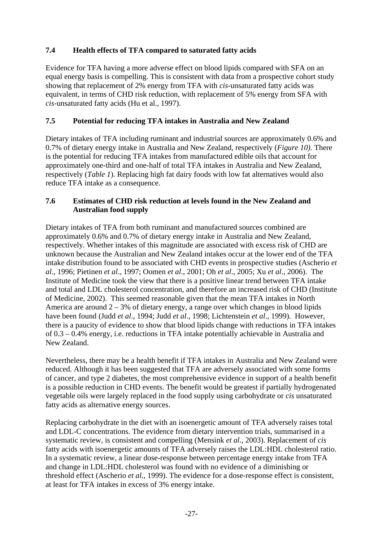### **7.4 Health effects of TFA compared to saturated fatty acids**

Evidence for TFA having a more adverse effect on blood lipids compared with SFA on an equal energy basis is compelling. This is consistent with data from a prospective cohort study showing that replacement of 2% energy from TFA with *cis*-unsaturated fatty acids was equivalent, in terms of CHD risk reduction, with replacement of 5% energy from SFA with *cis*-unsaturated fatty acids (Hu et al., 1997).

### **7.5 Potential for reducing TFA intakes in Australia and New Zealand**

Dietary intakes of TFA including ruminant and industrial sources are approximately 0.6% and 0.7% of dietary energy intake in Australia and New Zealand, respectively (*Figure 10)*. There is the potential for reducing TFA intakes from manufactured edible oils that account for approximately one-third and one-half of total TFA intakes in Australia and New Zealand, respectively (*Table 1*). Replacing high fat dairy foods with low fat alternatives would also reduce TFA intake as a consequence.

### **7.6 Estimates of CHD risk reduction at levels found in the New Zealand and Australian food supply**

Dietary intakes of TFA from both ruminant and manufactured sources combined are approximately 0.6% and 0.7% of dietary energy intake in Australia and New Zealand, respectively. Whether intakes of this magnitude are associated with excess risk of CHD are unknown because the Australian and New Zealand intakes occur at the lower end of the TFA intake distribution found to be associated with CHD events in prospective studies (Ascherio *et al*., 1996; Pietinen *et al*., 1997; Oomen *et al*., 2001; Oh *et al*., 2005; Xu *et al*., 2006). The Institute of Medicine took the view that there is a positive linear trend between TFA intake and total and LDL cholesterol concentration, and therefore an increased risk of CHD (Institute of Medicine, 2002). This seemed reasonable given that the mean TFA intakes in North America are around  $2 - 3%$  of dietary energy, a range over which changes in blood lipids have been found (Judd *et al*., 1994; Judd *et al*., 1998; Lichtenstein *et al*., 1999). However, there is a paucity of evidence to show that blood lipids change with reductions in TFA intakes of 0.3 – 0.4% energy, i.e. reductions in TFA intake potentially achievable in Australia and New Zealand.

Nevertheless, there may be a health benefit if TFA intakes in Australia and New Zealand were reduced. Although it has been suggested that TFA are adversely associated with some forms of cancer, and type 2 diabetes, the most comprehensive evidence in support of a health benefit is a possible reduction in CHD events. The benefit would be greatest if partially hydrogenated vegetable oils were largely replaced in the food supply using carbohydrate or *cis* unsaturated fatty acids as alternative energy sources.

Replacing carbohydrate in the diet with an isoenergetic amount of TFA adversely raises total and LDL-C concentrations. The evidence from dietary intervention trials, summarised in a systematic review, is consistent and compelling (Mensink *et al*., 2003). Replacement of *cis* fatty acids with isoenergetic amounts of TFA adversely raises the LDL:HDL cholesterol ratio. In a systematic review, a linear dose-response between percentage energy intake from TFA and change in LDL:HDL cholesterol was found with no evidence of a diminishing or threshold effect (Ascherio *et al*., 1999). The evidence for a dose-response effect is consistent, at least for TFA intakes in excess of 3% energy intake.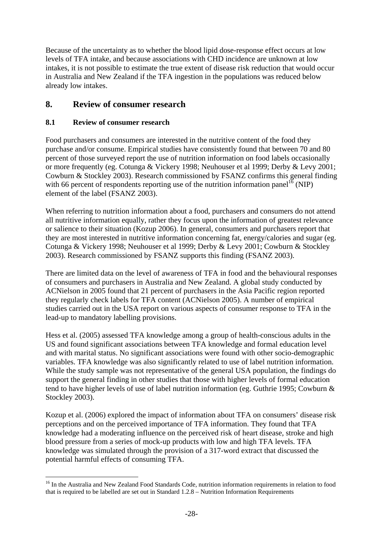Because of the uncertainty as to whether the blood lipid dose-response effect occurs at low levels of TFA intake, and because associations with CHD incidence are unknown at low intakes, it is not possible to estimate the true extent of disease risk reduction that would occur in Australia and New Zealand if the TFA ingestion in the populations was reduced below already low intakes.

### **8. Review of consumer research**

### **8.1 Review of consumer research**

1

Food purchasers and consumers are interested in the nutritive content of the food they purchase and/or consume. Empirical studies have consistently found that between 70 and 80 percent of those surveyed report the use of nutrition information on food labels occasionally or more frequently (eg. Cotunga & Vickery 1998; Neuhouser et al 1999; Derby & Levy 2001; Cowburn & Stockley 2003). Research commissioned by FSANZ confirms this general finding with 66 percent of respondents reporting use of the nutrition information panel<sup>16</sup> (NIP) element of the label (FSANZ 2003).

When referring to nutrition information about a food, purchasers and consumers do not attend all nutritive information equally, rather they focus upon the information of greatest relevance or salience to their situation (Kozup 2006). In general, consumers and purchasers report that they are most interested in nutritive information concerning fat, energy/calories and sugar (eg. Cotunga & Vickery 1998; Neuhouser et al 1999; Derby & Levy 2001; Cowburn & Stockley 2003). Research commissioned by FSANZ supports this finding (FSANZ 2003).

There are limited data on the level of awareness of TFA in food and the behavioural responses of consumers and purchasers in Australia and New Zealand. A global study conducted by ACNielson in 2005 found that 21 percent of purchasers in the Asia Pacific region reported they regularly check labels for TFA content (ACNielson 2005). A number of empirical studies carried out in the USA report on various aspects of consumer response to TFA in the lead-up to mandatory labelling provisions.

Hess et al. (2005) assessed TFA knowledge among a group of health-conscious adults in the US and found significant associations between TFA knowledge and formal education level and with marital status. No significant associations were found with other socio-demographic variables. TFA knowledge was also significantly related to use of label nutrition information. While the study sample was not representative of the general USA population, the findings do support the general finding in other studies that those with higher levels of formal education tend to have higher levels of use of label nutrition information (eg. Guthrie 1995; Cowburn & Stockley 2003).

Kozup et al. (2006) explored the impact of information about TFA on consumers' disease risk perceptions and on the perceived importance of TFA information. They found that TFA knowledge had a moderating influence on the perceived risk of heart disease, stroke and high blood pressure from a series of mock-up products with low and high TFA levels. TFA knowledge was simulated through the provision of a 317-word extract that discussed the potential harmful effects of consuming TFA.

<sup>&</sup>lt;sup>16</sup> In the Australia and New Zealand Food Standards Code, nutrition information requirements in relation to food that is required to be labelled are set out in Standard 1.2.8 – Nutrition Information Requirements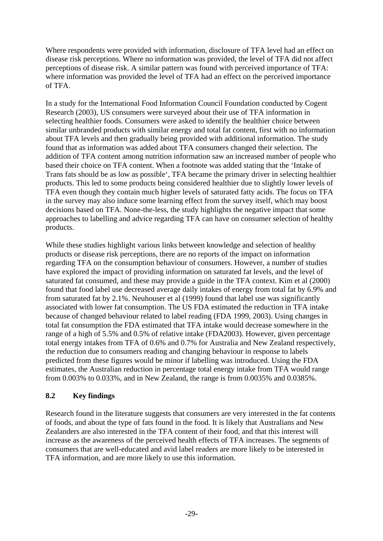Where respondents were provided with information, disclosure of TFA level had an effect on disease risk perceptions. Where no information was provided, the level of TFA did not affect perceptions of disease risk. A similar pattern was found with perceived importance of TFA: where information was provided the level of TFA had an effect on the perceived importance of TFA.

In a study for the International Food Information Council Foundation conducted by Cogent Research (2003), US consumers were surveyed about their use of TFA information in selecting healthier foods. Consumers were asked to identify the healthier choice between similar unbranded products with similar energy and total fat content, first with no information about TFA levels and then gradually being provided with additional information. The study found that as information was added about TFA consumers changed their selection. The addition of TFA content among nutrition information saw an increased number of people who based their choice on TFA content. When a footnote was added stating that the 'Intake of Trans fats should be as low as possible', TFA became the primary driver in selecting healthier products. This led to some products being considered healthier due to slightly lower levels of TFA even though they contain much higher levels of saturated fatty acids. The focus on TFA in the survey may also induce some learning effect from the survey itself, which may boost decisions based on TFA. None-the-less, the study highlights the negative impact that some approaches to labelling and advice regarding TFA can have on consumer selection of healthy products.

While these studies highlight various links between knowledge and selection of healthy products or disease risk perceptions, there are no reports of the impact on information regarding TFA on the consumption behaviour of consumers. However, a number of studies have explored the impact of providing information on saturated fat levels, and the level of saturated fat consumed, and these may provide a guide in the TFA context. Kim et al (2000) found that food label use decreased average daily intakes of energy from total fat by 6.9% and from saturated fat by 2.1%. Neuhouser et al (1999) found that label use was significantly associated with lower fat consumption. The US FDA estimated the reduction in TFA intake because of changed behaviour related to label reading (FDA 1999, 2003). Using changes in total fat consumption the FDA estimated that TFA intake would decrease somewhere in the range of a high of 5.5% and 0.5% of relative intake (FDA2003). However, given percentage total energy intakes from TFA of 0.6% and 0.7% for Australia and New Zealand respectively, the reduction due to consumers reading and changing behaviour in response to labels predicted from these figures would be minor if labelling was introduced. Using the FDA estimates, the Australian reduction in percentage total energy intake from TFA would range from 0.003% to 0.033%, and in New Zealand, the range is from 0.0035% and 0.0385%.

### **8.2 Key findings**

Research found in the literature suggests that consumers are very interested in the fat contents of foods, and about the type of fats found in the food. It is likely that Australians and New Zealanders are also interested in the TFA content of their food, and that this interest will increase as the awareness of the perceived health effects of TFA increases. The segments of consumers that are well-educated and avid label readers are more likely to be interested in TFA information, and are more likely to use this information.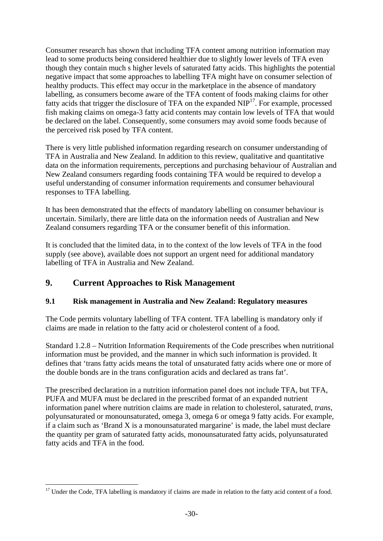Consumer research has shown that including TFA content among nutrition information may lead to some products being considered healthier due to slightly lower levels of TFA even though they contain much s higher levels of saturated fatty acids. This highlights the potential negative impact that some approaches to labelling TFA might have on consumer selection of healthy products. This effect may occur in the marketplace in the absence of mandatory labelling, as consumers become aware of the TFA content of foods making claims for other fatty acids that trigger the disclosure of TFA on the expanded NIP<sup>17</sup>. For example, processed fish making claims on omega-3 fatty acid contents may contain low levels of TFA that would be declared on the label. Consequently, some consumers may avoid some foods because of the perceived risk posed by TFA content.

There is very little published information regarding research on consumer understanding of TFA in Australia and New Zealand. In addition to this review, qualitative and quantitative data on the information requirements, perceptions and purchasing behaviour of Australian and New Zealand consumers regarding foods containing TFA would be required to develop a useful understanding of consumer information requirements and consumer behavioural responses to TFA labelling.

It has been demonstrated that the effects of mandatory labelling on consumer behaviour is uncertain. Similarly, there are little data on the information needs of Australian and New Zealand consumers regarding TFA or the consumer benefit of this information.

It is concluded that the limited data, in to the context of the low levels of TFA in the food supply (see above), available does not support an urgent need for additional mandatory labelling of TFA in Australia and New Zealand.

## **9. Current Approaches to Risk Management**

### **9.1 Risk management in Australia and New Zealand: Regulatory measures**

The Code permits voluntary labelling of TFA content. TFA labelling is mandatory only if claims are made in relation to the fatty acid or cholesterol content of a food.

Standard 1.2.8 – Nutrition Information Requirements of the Code prescribes when nutritional information must be provided, and the manner in which such information is provided. It defines that 'trans fatty acids means the total of unsaturated fatty acids where one or more of the double bonds are in the trans configuration acids and declared as trans fat'.

The prescribed declaration in a nutrition information panel does not include TFA, but TFA, PUFA and MUFA must be declared in the prescribed format of an expanded nutrient information panel where nutrition claims are made in relation to cholesterol, saturated, *trans*, polyunsaturated or monounsaturated, omega 3, omega 6 or omega 9 fatty acids. For example, if a claim such as 'Brand X is a monounsaturated margarine' is made, the label must declare the quantity per gram of saturated fatty acids, monounsaturated fatty acids, polyunsaturated fatty acids and TFA in the food.

<sup>&</sup>lt;u>.</u> <sup>17</sup> Under the Code, TFA labelling is mandatory if claims are made in relation to the fatty acid content of a food.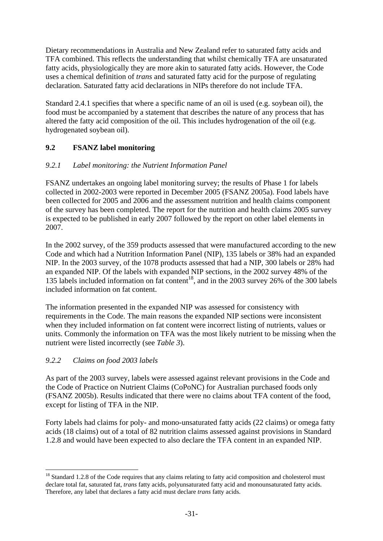Dietary recommendations in Australia and New Zealand refer to saturated fatty acids and TFA combined. This reflects the understanding that whilst chemically TFA are unsaturated fatty acids, physiologically they are more akin to saturated fatty acids. However, the Code uses a chemical definition of *trans* and saturated fatty acid for the purpose of regulating declaration. Saturated fatty acid declarations in NIPs therefore do not include TFA.

Standard 2.4.1 specifies that where a specific name of an oil is used (e.g. soybean oil), the food must be accompanied by a statement that describes the nature of any process that has altered the fatty acid composition of the oil. This includes hydrogenation of the oil (e.g. hydrogenated soybean oil).

### **9.2 FSANZ label monitoring**

### *9.2.1 Label monitoring: the Nutrient Information Panel*

FSANZ undertakes an ongoing label monitoring survey; the results of Phase 1 for labels collected in 2002-2003 were reported in December 2005 (FSANZ 2005a). Food labels have been collected for 2005 and 2006 and the assessment nutrition and health claims component of the survey has been completed. The report for the nutrition and health claims 2005 survey is expected to be published in early 2007 followed by the report on other label elements in 2007.

In the 2002 survey, of the 359 products assessed that were manufactured according to the new Code and which had a Nutrition Information Panel (NIP), 135 labels or 38% had an expanded NIP. In the 2003 survey, of the 1078 products assessed that had a NIP, 300 labels or 28% had an expanded NIP. Of the labels with expanded NIP sections, in the 2002 survey 48% of the 135 labels included information on fat content<sup>18</sup>, and in the 2003 survey 26% of the 300 labels included information on fat content.

The information presented in the expanded NIP was assessed for consistency with requirements in the Code. The main reasons the expanded NIP sections were inconsistent when they included information on fat content were incorrect listing of nutrients, values or units. Commonly the information on TFA was the most likely nutrient to be missing when the nutrient were listed incorrectly (see *Table 3*).

### *9.2.2 Claims on food 2003 labels*

1

As part of the 2003 survey, labels were assessed against relevant provisions in the Code and the Code of Practice on Nutrient Claims (CoPoNC) for Australian purchased foods only (FSANZ 2005b). Results indicated that there were no claims about TFA content of the food, except for listing of TFA in the NIP.

Forty labels had claims for poly- and mono-unsaturated fatty acids (22 claims) or omega fatty acids (18 claims) out of a total of 82 nutrition claims assessed against provisions in Standard 1.2.8 and would have been expected to also declare the TFA content in an expanded NIP.

<sup>&</sup>lt;sup>18</sup> Standard 1.2.8 of the Code requires that any claims relating to fatty acid composition and cholesterol must declare total fat, saturated fat, *trans* fatty acids, polyunsaturated fatty acid and monounsaturated fatty acids. Therefore, any label that declares a fatty acid must declare *trans* fatty acids.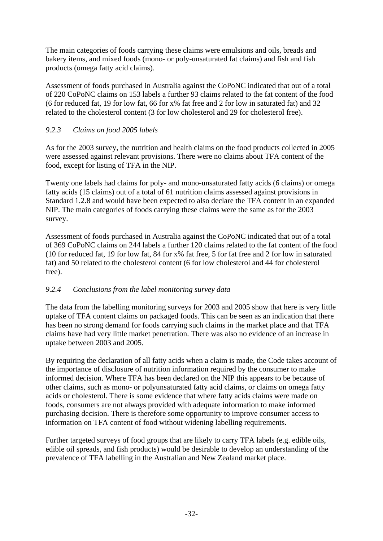The main categories of foods carrying these claims were emulsions and oils, breads and bakery items, and mixed foods (mono- or poly-unsaturated fat claims) and fish and fish products (omega fatty acid claims).

Assessment of foods purchased in Australia against the CoPoNC indicated that out of a total of 220 CoPoNC claims on 153 labels a further 93 claims related to the fat content of the food (6 for reduced fat, 19 for low fat, 66 for x% fat free and 2 for low in saturated fat) and 32 related to the cholesterol content (3 for low cholesterol and 29 for cholesterol free).

### *9.2.3 Claims on food 2005 labels*

As for the 2003 survey, the nutrition and health claims on the food products collected in 2005 were assessed against relevant provisions. There were no claims about TFA content of the food, except for listing of TFA in the NIP.

Twenty one labels had claims for poly- and mono-unsaturated fatty acids (6 claims) or omega fatty acids (15 claims) out of a total of 61 nutrition claims assessed against provisions in Standard 1.2.8 and would have been expected to also declare the TFA content in an expanded NIP. The main categories of foods carrying these claims were the same as for the 2003 survey.

Assessment of foods purchased in Australia against the CoPoNC indicated that out of a total of 369 CoPoNC claims on 244 labels a further 120 claims related to the fat content of the food (10 for reduced fat, 19 for low fat, 84 for x% fat free, 5 for fat free and 2 for low in saturated fat) and 50 related to the cholesterol content (6 for low cholesterol and 44 for cholesterol free).

### *9.2.4 Conclusions from the label monitoring survey data*

The data from the labelling monitoring surveys for 2003 and 2005 show that here is very little uptake of TFA content claims on packaged foods. This can be seen as an indication that there has been no strong demand for foods carrying such claims in the market place and that TFA claims have had very little market penetration. There was also no evidence of an increase in uptake between 2003 and 2005.

By requiring the declaration of all fatty acids when a claim is made, the Code takes account of the importance of disclosure of nutrition information required by the consumer to make informed decision. Where TFA has been declared on the NIP this appears to be because of other claims, such as mono- or polyunsaturated fatty acid claims, or claims on omega fatty acids or cholesterol. There is some evidence that where fatty acids claims were made on foods, consumers are not always provided with adequate information to make informed purchasing decision. There is therefore some opportunity to improve consumer access to information on TFA content of food without widening labelling requirements.

Further targeted surveys of food groups that are likely to carry TFA labels (e.g. edible oils, edible oil spreads, and fish products) would be desirable to develop an understanding of the prevalence of TFA labelling in the Australian and New Zealand market place.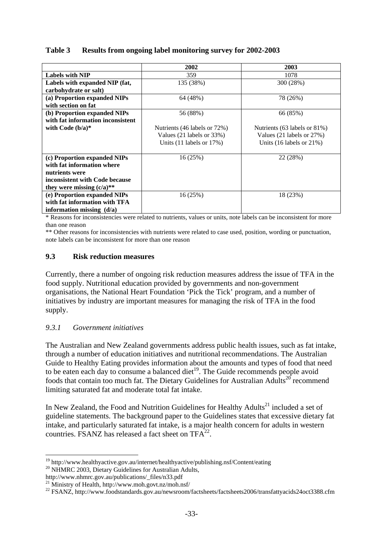#### **Table 3 Results from ongoing label monitoring survey for 2002-2003**

|                                   | 2002                          | 2003                          |
|-----------------------------------|-------------------------------|-------------------------------|
| <b>Labels with NIP</b>            | 359                           | 1078                          |
| Labels with expanded NIP (fat,    | 135 (38%)                     | 300 (28%)                     |
| carbohydrate or salt)             |                               |                               |
| (a) Proportion expanded NIPs      | 64 (48%)                      | 78 (26%)                      |
| with section on fat               |                               |                               |
| (b) Proportion expanded NIPs      | 56 (88%)                      | 66 (85%)                      |
| with fat information inconsistent |                               |                               |
| with Code $(b/a)^*$               | Nutrients (46 labels or 72%)  | Nutrients (63 labels or 81%)  |
|                                   | Values (21 labels or 33%)     | Values (21 labels or 27%)     |
|                                   | Units $(11$ labels or $17\%)$ | Units $(16$ labels or $21\%)$ |
|                                   |                               |                               |
| (c) Proportion expanded NIPs      | 16(25%)                       | 22 (28%)                      |
| with fat information where        |                               |                               |
| nutrients were                    |                               |                               |
| inconsistent with Code because    |                               |                               |
| they were missing $(c/a)$ **      |                               |                               |
| (e) Proportion expanded NIPs      | 16(25%)                       | 18 (23%)                      |
| with fat information with TFA     |                               |                               |
| information missing $(d/a)$       |                               |                               |

\* Reasons for inconsistencies were related to nutrients, values or units, note labels can be inconsistent for more than one reason

\*\* Other reasons for inconsistencies with nutrients were related to case used, position, wording or punctuation, note labels can be inconsistent for more than one reason

#### **9.3 Risk reduction measures**

Currently, there a number of ongoing risk reduction measures address the issue of TFA in the food supply. Nutritional education provided by governments and non-government organisations, the National Heart Foundation 'Pick the Tick' program, and a number of initiatives by industry are important measures for managing the risk of TFA in the food supply.

#### *9.3.1 Government initiatives*

The Australian and New Zealand governments address public health issues, such as fat intake, through a number of education initiatives and nutritional recommendations. The Australian Guide to Healthy Eating provides information about the amounts and types of food that need to be eaten each day to consume a balanced diet<sup>19</sup>. The Guide recommends people avoid foods that contain too much fat. The Dietary Guidelines for Australian Adults<sup>20</sup> recommend limiting saturated fat and moderate total fat intake.

In New Zealand, the Food and Nutrition Guidelines for Healthy Adults<sup>21</sup> included a set of guideline statements. The background paper to the Guidelines states that excessive dietary fat intake, and particularly saturated fat intake, is a major health concern for adults in western countries. FSANZ has released a fact sheet on  $TFA^{22}$ .

http://www.nhmrc.gov.au/publications/\_files/n33.pdf

<sup>1</sup> <sup>19</sup> http://www.healthyactive.gov.au/internet/healthyactive/publishing.nsf/Content/eating  $^{20}$  NHMRC 2003, Dietary Guidelines for Australian Adults,

<sup>21</sup> Ministry of Health, http://www.moh.govt.nz/moh.nsf/

<sup>&</sup>lt;sup>22</sup> FSANZ, http://www.foodstandards.gov.au/newsroom/factsheets/factsheets2006/transfattyacids24oct3388.cfm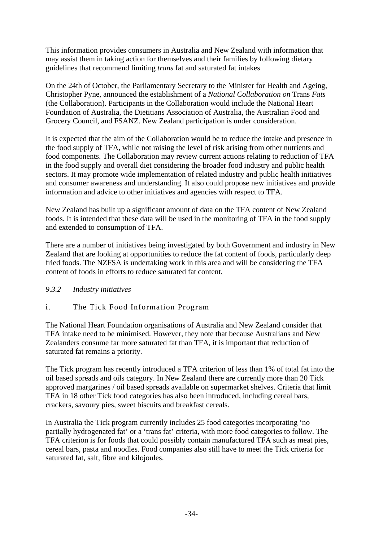This information provides consumers in Australia and New Zealand with information that may assist them in taking action for themselves and their families by following dietary guidelines that recommend limiting *trans* fat and saturated fat intakes

On the 24th of October, the Parliamentary Secretary to the Minister for Health and Ageing, Christopher Pyne, announced the establishment of a *National Collaboration on* Trans *Fats* (the Collaboration). Participants in the Collaboration would include the National Heart Foundation of Australia, the Dietitians Association of Australia, the Australian Food and Grocery Council, and FSANZ. New Zealand participation is under consideration.

It is expected that the aim of the Collaboration would be to reduce the intake and presence in the food supply of TFA, while not raising the level of risk arising from other nutrients and food components. The Collaboration may review current actions relating to reduction of TFA in the food supply and overall diet considering the broader food industry and public health sectors. It may promote wide implementation of related industry and public health initiatives and consumer awareness and understanding. It also could propose new initiatives and provide information and advice to other initiatives and agencies with respect to TFA.

New Zealand has built up a significant amount of data on the TFA content of New Zealand foods. It is intended that these data will be used in the monitoring of TFA in the food supply and extended to consumption of TFA.

There are a number of initiatives being investigated by both Government and industry in New Zealand that are looking at opportunities to reduce the fat content of foods, particularly deep fried foods. The NZFSA is undertaking work in this area and will be considering the TFA content of foods in efforts to reduce saturated fat content.

#### *9.3.2 Industry initiatives*

### i. The Tick Food Information Program

The National Heart Foundation organisations of Australia and New Zealand consider that TFA intake need to be minimised. However, they note that because Australians and New Zealanders consume far more saturated fat than TFA, it is important that reduction of saturated fat remains a priority.

The Tick program has recently introduced a TFA criterion of less than 1% of total fat into the oil based spreads and oils category. In New Zealand there are currently more than 20 Tick approved margarines / oil based spreads available on supermarket shelves. Criteria that limit TFA in 18 other Tick food categories has also been introduced, including cereal bars, crackers, savoury pies, sweet biscuits and breakfast cereals.

In Australia the Tick program currently includes 25 food categories incorporating 'no partially hydrogenated fat' or a 'trans fat' criteria, with more food categories to follow. The TFA criterion is for foods that could possibly contain manufactured TFA such as meat pies, cereal bars, pasta and noodles. Food companies also still have to meet the Tick criteria for saturated fat, salt, fibre and kilojoules.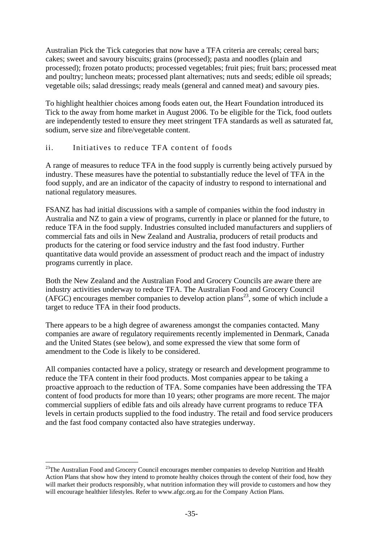Australian Pick the Tick categories that now have a TFA criteria are cereals; cereal bars; cakes; sweet and savoury biscuits; grains (processed); pasta and noodles (plain and processed); frozen potato products; processed vegetables; fruit pies; fruit bars; processed meat and poultry; luncheon meats; processed plant alternatives; nuts and seeds; edible oil spreads; vegetable oils; salad dressings; ready meals (general and canned meat) and savoury pies.

To highlight healthier choices among foods eaten out, the Heart Foundation introduced its Tick to the away from home market in August 2006. To be eligible for the Tick, food outlets are independently tested to ensure they meet stringent TFA standards as well as saturated fat, sodium, serve size and fibre/vegetable content.

### ii. Initiatives to reduce TFA content of foods

A range of measures to reduce TFA in the food supply is currently being actively pursued by industry. These measures have the potential to substantially reduce the level of TFA in the food supply, and are an indicator of the capacity of industry to respond to international and national regulatory measures.

FSANZ has had initial discussions with a sample of companies within the food industry in Australia and NZ to gain a view of programs, currently in place or planned for the future, to reduce TFA in the food supply. Industries consulted included manufacturers and suppliers of commercial fats and oils in New Zealand and Australia, producers of retail products and products for the catering or food service industry and the fast food industry. Further quantitative data would provide an assessment of product reach and the impact of industry programs currently in place.

Both the New Zealand and the Australian Food and Grocery Councils are aware there are industry activities underway to reduce TFA. The Australian Food and Grocery Council  $(AFGC)$  encourages member companies to develop action plans<sup>23</sup>, some of which include a target to reduce TFA in their food products.

There appears to be a high degree of awareness amongst the companies contacted. Many companies are aware of regulatory requirements recently implemented in Denmark, Canada and the United States (see below), and some expressed the view that some form of amendment to the Code is likely to be considered.

All companies contacted have a policy, strategy or research and development programme to reduce the TFA content in their food products. Most companies appear to be taking a proactive approach to the reduction of TFA. Some companies have been addressing the TFA content of food products for more than 10 years; other programs are more recent. The major commercial suppliers of edible fats and oils already have current programs to reduce TFA levels in certain products supplied to the food industry. The retail and food service producers and the fast food company contacted also have strategies underway.

<u>.</u>

<sup>&</sup>lt;sup>23</sup>The Australian Food and Grocery Council encourages member companies to develop Nutrition and Health Action Plans that show how they intend to promote healthy choices through the content of their food, how they will market their products responsibly, what nutrition information they will provide to customers and how they will encourage healthier lifestyles. Refer to www.afgc.org.au for the Company Action Plans.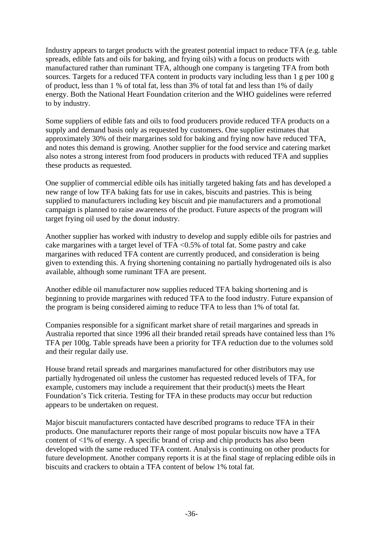Industry appears to target products with the greatest potential impact to reduce TFA (e.g. table spreads, edible fats and oils for baking, and frying oils) with a focus on products with manufactured rather than ruminant TFA, although one company is targeting TFA from both sources. Targets for a reduced TFA content in products vary including less than 1 g per 100 g of product, less than 1 % of total fat, less than 3% of total fat and less than 1% of daily energy. Both the National Heart Foundation criterion and the WHO guidelines were referred to by industry.

Some suppliers of edible fats and oils to food producers provide reduced TFA products on a supply and demand basis only as requested by customers. One supplier estimates that approximately 30% of their margarines sold for baking and frying now have reduced TFA, and notes this demand is growing. Another supplier for the food service and catering market also notes a strong interest from food producers in products with reduced TFA and supplies these products as requested.

One supplier of commercial edible oils has initially targeted baking fats and has developed a new range of low TFA baking fats for use in cakes, biscuits and pastries. This is being supplied to manufacturers including key biscuit and pie manufacturers and a promotional campaign is planned to raise awareness of the product. Future aspects of the program will target frying oil used by the donut industry.

Another supplier has worked with industry to develop and supply edible oils for pastries and cake margarines with a target level of TFA <0.5% of total fat. Some pastry and cake margarines with reduced TFA content are currently produced, and consideration is being given to extending this. A frying shortening containing no partially hydrogenated oils is also available, although some ruminant TFA are present.

Another edible oil manufacturer now supplies reduced TFA baking shortening and is beginning to provide margarines with reduced TFA to the food industry. Future expansion of the program is being considered aiming to reduce TFA to less than 1% of total fat.

Companies responsible for a significant market share of retail margarines and spreads in Australia reported that since 1996 all their branded retail spreads have contained less than 1% TFA per 100g. Table spreads have been a priority for TFA reduction due to the volumes sold and their regular daily use.

House brand retail spreads and margarines manufactured for other distributors may use partially hydrogenated oil unless the customer has requested reduced levels of TFA, for example, customers may include a requirement that their product(s) meets the Heart Foundation's Tick criteria. Testing for TFA in these products may occur but reduction appears to be undertaken on request.

Major biscuit manufacturers contacted have described programs to reduce TFA in their products. One manufacturer reports their range of most popular biscuits now have a TFA content of <1% of energy. A specific brand of crisp and chip products has also been developed with the same reduced TFA content. Analysis is continuing on other products for future development. Another company reports it is at the final stage of replacing edible oils in biscuits and crackers to obtain a TFA content of below 1% total fat.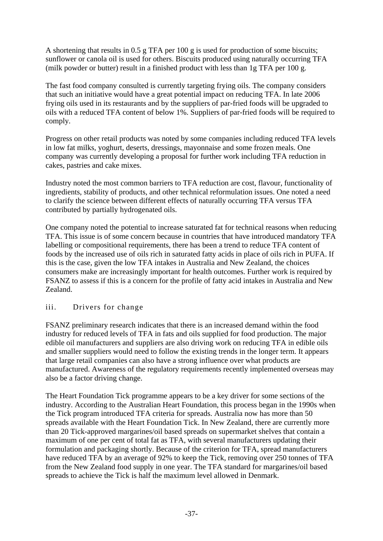A shortening that results in 0.5 g TFA per 100 g is used for production of some biscuits; sunflower or canola oil is used for others. Biscuits produced using naturally occurring TFA (milk powder or butter) result in a finished product with less than 1g TFA per 100 g.

The fast food company consulted is currently targeting frying oils. The company considers that such an initiative would have a great potential impact on reducing TFA. In late 2006 frying oils used in its restaurants and by the suppliers of par-fried foods will be upgraded to oils with a reduced TFA content of below 1%. Suppliers of par-fried foods will be required to comply.

Progress on other retail products was noted by some companies including reduced TFA levels in low fat milks, yoghurt, deserts, dressings, mayonnaise and some frozen meals. One company was currently developing a proposal for further work including TFA reduction in cakes, pastries and cake mixes.

Industry noted the most common barriers to TFA reduction are cost, flavour, functionality of ingredients, stability of products, and other technical reformulation issues. One noted a need to clarify the science between different effects of naturally occurring TFA versus TFA contributed by partially hydrogenated oils.

One company noted the potential to increase saturated fat for technical reasons when reducing TFA. This issue is of some concern because in countries that have introduced mandatory TFA labelling or compositional requirements, there has been a trend to reduce TFA content of foods by the increased use of oils rich in saturated fatty acids in place of oils rich in PUFA. If this is the case, given the low TFA intakes in Australia and New Zealand, the choices consumers make are increasingly important for health outcomes. Further work is required by FSANZ to assess if this is a concern for the profile of fatty acid intakes in Australia and New Zealand.

#### iii. Drivers for change

FSANZ preliminary research indicates that there is an increased demand within the food industry for reduced levels of TFA in fats and oils supplied for food production. The major edible oil manufacturers and suppliers are also driving work on reducing TFA in edible oils and smaller suppliers would need to follow the existing trends in the longer term. It appears that large retail companies can also have a strong influence over what products are manufactured. Awareness of the regulatory requirements recently implemented overseas may also be a factor driving change.

The Heart Foundation Tick programme appears to be a key driver for some sections of the industry. According to the Australian Heart Foundation, this process began in the 1990s when the Tick program introduced TFA criteria for spreads. Australia now has more than 50 spreads available with the Heart Foundation Tick. In New Zealand, there are currently more than 20 Tick-approved margarines/oil based spreads on supermarket shelves that contain a maximum of one per cent of total fat as TFA, with several manufacturers updating their formulation and packaging shortly. Because of the criterion for TFA, spread manufacturers have reduced TFA by an average of 92% to keep the Tick, removing over 250 tonnes of TFA from the New Zealand food supply in one year. The TFA standard for margarines/oil based spreads to achieve the Tick is half the maximum level allowed in Denmark.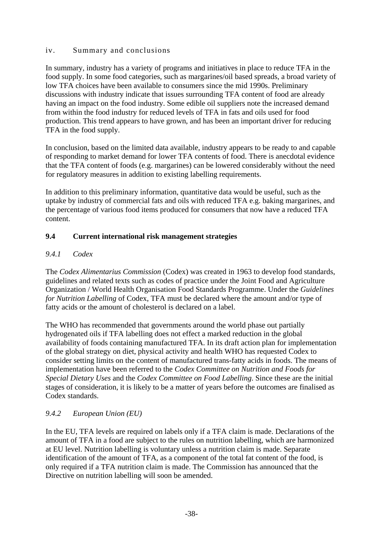### iv. Summary and conclusions

In summary, industry has a variety of programs and initiatives in place to reduce TFA in the food supply. In some food categories, such as margarines/oil based spreads, a broad variety of low TFA choices have been available to consumers since the mid 1990s. Preliminary discussions with industry indicate that issues surrounding TFA content of food are already having an impact on the food industry. Some edible oil suppliers note the increased demand from within the food industry for reduced levels of TFA in fats and oils used for food production. This trend appears to have grown, and has been an important driver for reducing TFA in the food supply.

In conclusion, based on the limited data available, industry appears to be ready to and capable of responding to market demand for lower TFA contents of food. There is anecdotal evidence that the TFA content of foods (e.g. margarines) can be lowered considerably without the need for regulatory measures in addition to existing labelling requirements.

In addition to this preliminary information, quantitative data would be useful, such as the uptake by industry of commercial fats and oils with reduced TFA e.g. baking margarines, and the percentage of various food items produced for consumers that now have a reduced TFA content.

### **9.4 Current international risk management strategies**

### *9.4.1 Codex*

The *Codex Alimentarius Commission* (Codex) was created in 1963 to develop food standards, guidelines and related texts such as codes of practice under the Joint Food and Agriculture Organization / World Health Organisation Food Standards Programme. Under the *Guidelines for Nutrition Labelling* of Codex, TFA must be declared where the amount and/or type of fatty acids or the amount of cholesterol is declared on a label.

The WHO has recommended that governments around the world phase out partially hydrogenated oils if TFA labelling does not effect a marked reduction in the global availability of foods containing manufactured TFA. In its draft action plan for implementation of the global strategy on diet, physical activity and health WHO has requested Codex to consider setting limits on the content of manufactured trans-fatty acids in foods. The means of implementation have been referred to the *Codex Committee on Nutrition and Foods for Special Dietary Uses* and the *Codex Committee on Food Labelling*. Since these are the initial stages of consideration, it is likely to be a matter of years before the outcomes are finalised as Codex standards.

#### *9.4.2 European Union (EU)*

In the EU, TFA levels are required on labels only if a TFA claim is made. Declarations of the amount of TFA in a food are subject to the rules on nutrition labelling, which are harmonized at EU level. Nutrition labelling is voluntary unless a nutrition claim is made. Separate identification of the amount of TFA, as a component of the total fat content of the food, is only required if a TFA nutrition claim is made. The Commission has announced that the Directive on nutrition labelling will soon be amended.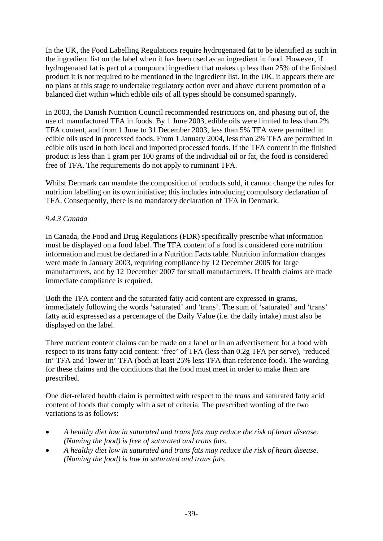In the UK, the Food Labelling Regulations require hydrogenated fat to be identified as such in the ingredient list on the label when it has been used as an ingredient in food. However, if hydrogenated fat is part of a compound ingredient that makes up less than 25% of the finished product it is not required to be mentioned in the ingredient list. In the UK, it appears there are no plans at this stage to undertake regulatory action over and above current promotion of a balanced diet within which edible oils of all types should be consumed sparingly.

In 2003, the Danish Nutrition Council recommended restrictions on, and phasing out of, the use of manufactured TFA in foods. By 1 June 2003, edible oils were limited to less than 2% TFA content, and from 1 June to 31 December 2003, less than 5% TFA were permitted in edible oils used in processed foods. From 1 January 2004, less than 2% TFA are permitted in edible oils used in both local and imported processed foods. If the TFA content in the finished product is less than 1 gram per 100 grams of the individual oil or fat, the food is considered free of TFA. The requirements do not apply to ruminant TFA.

Whilst Denmark can mandate the composition of products sold, it cannot change the rules for nutrition labelling on its own initiative; this includes introducing compulsory declaration of TFA. Consequently, there is no mandatory declaration of TFA in Denmark.

### *9.4.3 Canada*

In Canada, the Food and Drug Regulations (FDR) specifically prescribe what information must be displayed on a food label. The TFA content of a food is considered core nutrition information and must be declared in a Nutrition Facts table. Nutrition information changes were made in January 2003, requiring compliance by 12 December 2005 for large manufacturers, and by 12 December 2007 for small manufacturers. If health claims are made immediate compliance is required.

Both the TFA content and the saturated fatty acid content are expressed in grams, immediately following the words 'saturated' and 'trans'. The sum of 'saturated' and 'trans' fatty acid expressed as a percentage of the Daily Value (i.e. the daily intake) must also be displayed on the label.

Three nutrient content claims can be made on a label or in an advertisement for a food with respect to its trans fatty acid content: 'free' of TFA (less than 0.2g TFA per serve), 'reduced in' TFA and 'lower in' TFA (both at least 25% less TFA than reference food). The wording for these claims and the conditions that the food must meet in order to make them are prescribed.

One diet-related health claim is permitted with respect to the *trans* and saturated fatty acid content of foods that comply with a set of criteria. The prescribed wording of the two variations is as follows:

- *A healthy diet low in saturated and trans fats may reduce the risk of heart disease. (Naming the food) is free of saturated and trans fats.*
- *A healthy diet low in saturated and trans fats may reduce the risk of heart disease. (Naming the food) is low in saturated and trans fats.*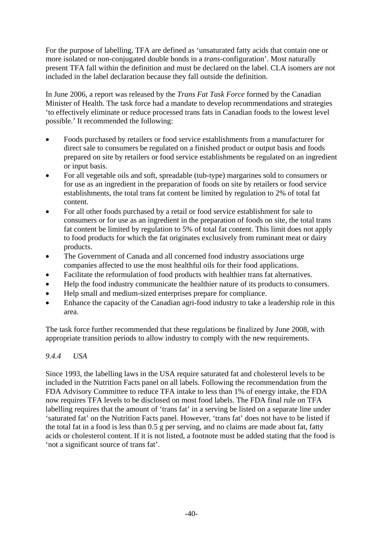For the purpose of labelling, TFA are defined as 'unsaturated fatty acids that contain one or more isolated or non-conjugated double bonds in a *trans*-configuration'. Most naturally present TFA fall within the definition and must be declared on the label. CLA isomers are not included in the label declaration because they fall outside the definition.

In June 2006, a report was released by the *Trans Fat Task Force* formed by the Canadian Minister of Health. The task force had a mandate to develop recommendations and strategies 'to effectively eliminate or reduce processed trans fats in Canadian foods to the lowest level possible.' It recommended the following:

- Foods purchased by retailers or food service establishments from a manufacturer for direct sale to consumers be regulated on a finished product or output basis and foods prepared on site by retailers or food service establishments be regulated on an ingredient or input basis.
- For all vegetable oils and soft, spreadable (tub-type) margarines sold to consumers or for use as an ingredient in the preparation of foods on site by retailers or food service establishments, the total trans fat content be limited by regulation to 2% of total fat content.
- For all other foods purchased by a retail or food service establishment for sale to consumers or for use as an ingredient in the preparation of foods on site, the total trans fat content be limited by regulation to 5% of total fat content. This limit does not apply to food products for which the fat originates exclusively from ruminant meat or dairy products.
- The Government of Canada and all concerned food industry associations urge companies affected to use the most healthful oils for their food applications.
- Facilitate the reformulation of food products with healthier trans fat alternatives.
- Help the food industry communicate the healthier nature of its products to consumers.
- Help small and medium-sized enterprises prepare for compliance.
- Enhance the capacity of the Canadian agri-food industry to take a leadership role in this area.

The task force further recommended that these regulations be finalized by June 2008, with appropriate transition periods to allow industry to comply with the new requirements.

### *9.4.4 USA*

Since 1993, the labelling laws in the USA require saturated fat and cholesterol levels to be included in the Nutrition Facts panel on all labels. Following the recommendation from the FDA Advisory Committee to reduce TFA intake to less than 1% of energy intake, the FDA now requires TFA levels to be disclosed on most food labels. The FDA final rule on TFA labelling requires that the amount of 'trans fat' in a serving be listed on a separate line under 'saturated fat' on the Nutrition Facts panel. However, 'trans fat' does not have to be listed if the total fat in a food is less than 0.5 g per serving, and no claims are made about fat, fatty acids or cholesterol content. If it is not listed, a footnote must be added stating that the food is 'not a significant source of trans fat'.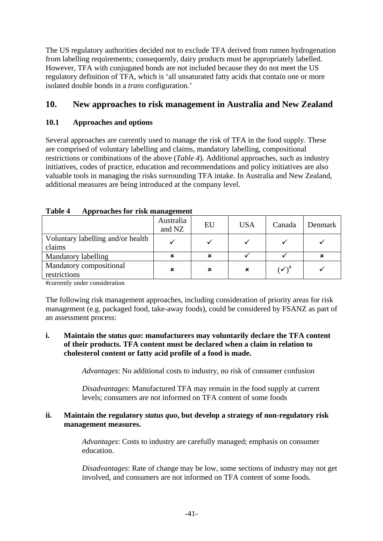The US regulatory authorities decided not to exclude TFA derived from rumen hydrogenation from labelling requirements; consequently, dairy products must be appropriately labelled. However, TFA with conjugated bonds are not included because they do not meet the US regulatory definition of TFA, which is 'all unsaturated fatty acids that contain one or more isolated double bonds in a *trans* configuration.'

### **10. New approaches to risk management in Australia and New Zealand**

### **10.1 Approaches and options**

Several approaches are currently used to manage the risk of TFA in the food supply. These are comprised of voluntary labelling and claims, mandatory labelling, compositional restrictions or combinations of the above (*Table 4*). Additional approaches, such as industry initiatives, codes of practice, education and recommendations and policy initiatives are also valuable tools in managing the risks surrounding TFA intake. In Australia and New Zealand, additional measures are being introduced at the company level.

|  | Table 4 |  |  |  | Approaches for risk management |
|--|---------|--|--|--|--------------------------------|
|--|---------|--|--|--|--------------------------------|

|                                             | Australia<br>and NZ | EU | <b>USA</b> | Canada              | Denmark |
|---------------------------------------------|---------------------|----|------------|---------------------|---------|
| Voluntary labelling and/or health<br>claims |                     |    |            |                     |         |
| Mandatory labelling                         | ×                   | ×  |            |                     |         |
| Mandatory compositional<br>restrictions     | ×                   | x  | ×          | $(\checkmark)^{\#}$ |         |

#currently under consideration

The following risk management approaches, including consideration of priority areas for risk management (e.g. packaged food, take-away foods), could be considered by FSANZ as part of an assessment process:

#### **i. Maintain the s***tatus quo***: manufacturers may voluntarily declare the TFA content of their products. TFA content must be declared when a claim in relation to cholesterol content or fatty acid profile of a food is made.**

*Advantages*: No additional costs to industry, no risk of consumer confusion

*Disadvantages*: Manufactured TFA may remain in the food supply at current levels; consumers are not informed on TFA content of some foods

#### **ii. Maintain the regulatory** *status quo***, but develop a strategy of non-regulatory risk management measures.**

*Advantages*: Costs to industry are carefully managed; emphasis on consumer education.

*Disadvantages*: Rate of change may be low, some sections of industry may not get involved, and consumers are not informed on TFA content of some foods.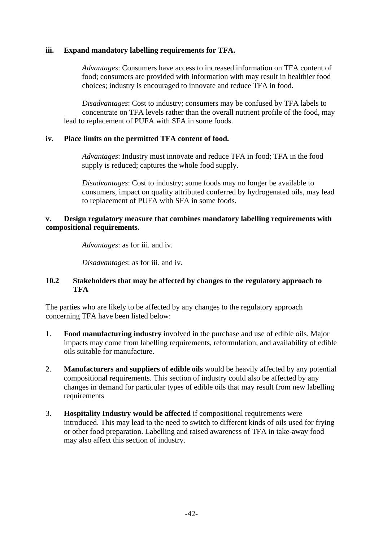#### **iii. Expand mandatory labelling requirements for TFA.**

*Advantages*: Consumers have access to increased information on TFA content of food; consumers are provided with information with may result in healthier food choices; industry is encouraged to innovate and reduce TFA in food.

*Disadvantages*: Cost to industry; consumers may be confused by TFA labels to concentrate on TFA levels rather than the overall nutrient profile of the food, may lead to replacement of PUFA with SFA in some foods.

#### **iv. Place limits on the permitted TFA content of food.**

*Advantages*: Industry must innovate and reduce TFA in food; TFA in the food supply is reduced; captures the whole food supply.

*Disadvantages*: Cost to industry; some foods may no longer be available to consumers, impact on quality attributed conferred by hydrogenated oils, may lead to replacement of PUFA with SFA in some foods.

#### **v. Design regulatory measure that combines mandatory labelling requirements with compositional requirements.**

*Advantages*: as for iii. and iv.

*Disadvantages*: as for iii. and iv.

#### **10.2 Stakeholders that may be affected by changes to the regulatory approach to TFA**

The parties who are likely to be affected by any changes to the regulatory approach concerning TFA have been listed below:

- 1. **Food manufacturing industry** involved in the purchase and use of edible oils. Major impacts may come from labelling requirements, reformulation, and availability of edible oils suitable for manufacture.
- 2. **Manufacturers and suppliers of edible oils** would be heavily affected by any potential compositional requirements. This section of industry could also be affected by any changes in demand for particular types of edible oils that may result from new labelling requirements
- 3. **Hospitality Industry would be affected** if compositional requirements were introduced. This may lead to the need to switch to different kinds of oils used for frying or other food preparation. Labelling and raised awareness of TFA in take-away food may also affect this section of industry.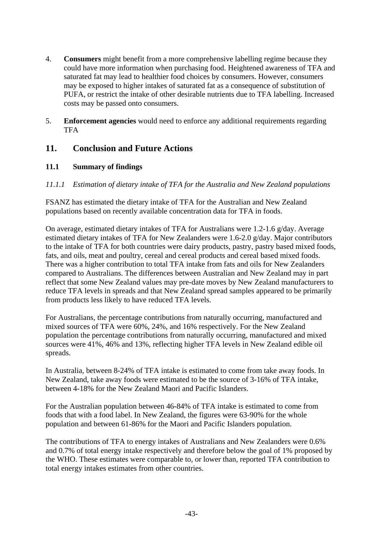- 4. **Consumers** might benefit from a more comprehensive labelling regime because they could have more information when purchasing food. Heightened awareness of TFA and saturated fat may lead to healthier food choices by consumers. However, consumers may be exposed to higher intakes of saturated fat as a consequence of substitution of PUFA, or restrict the intake of other desirable nutrients due to TFA labelling. Increased costs may be passed onto consumers.
- 5. **Enforcement agencies** would need to enforce any additional requirements regarding **TFA**

### **11. Conclusion and Future Actions**

### **11.1 Summary of findings**

*11.1.1 Estimation of dietary intake of TFA for the Australia and New Zealand populations* 

FSANZ has estimated the dietary intake of TFA for the Australian and New Zealand populations based on recently available concentration data for TFA in foods.

On average, estimated dietary intakes of TFA for Australians were 1.2-1.6 g/day. Average estimated dietary intakes of TFA for New Zealanders were 1.6-2.0 g/day. Major contributors to the intake of TFA for both countries were dairy products, pastry, pastry based mixed foods, fats, and oils, meat and poultry, cereal and cereal products and cereal based mixed foods. There was a higher contribution to total TFA intake from fats and oils for New Zealanders compared to Australians. The differences between Australian and New Zealand may in part reflect that some New Zealand values may pre-date moves by New Zealand manufacturers to reduce TFA levels in spreads and that New Zealand spread samples appeared to be primarily from products less likely to have reduced TFA levels.

For Australians, the percentage contributions from naturally occurring, manufactured and mixed sources of TFA were 60%, 24%, and 16% respectively. For the New Zealand population the percentage contributions from naturally occurring, manufactured and mixed sources were 41%, 46% and 13%, reflecting higher TFA levels in New Zealand edible oil spreads.

In Australia, between 8-24% of TFA intake is estimated to come from take away foods. In New Zealand, take away foods were estimated to be the source of 3-16% of TFA intake, between 4-18% for the New Zealand Maori and Pacific Islanders.

For the Australian population between 46-84% of TFA intake is estimated to come from foods that with a food label. In New Zealand, the figures were 63-90% for the whole population and between 61-86% for the Maori and Pacific Islanders population.

The contributions of TFA to energy intakes of Australians and New Zealanders were 0.6% and 0.7% of total energy intake respectively and therefore below the goal of 1% proposed by the WHO. These estimates were comparable to, or lower than, reported TFA contribution to total energy intakes estimates from other countries.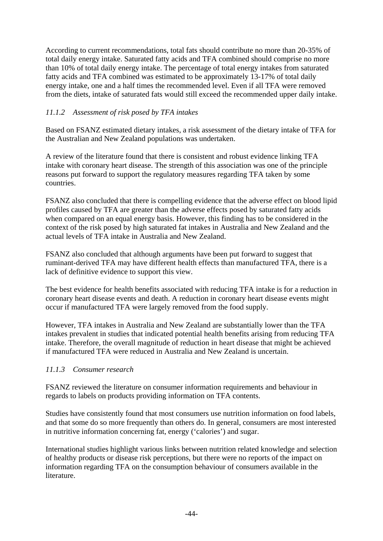According to current recommendations, total fats should contribute no more than 20-35% of total daily energy intake. Saturated fatty acids and TFA combined should comprise no more than 10% of total daily energy intake. The percentage of total energy intakes from saturated fatty acids and TFA combined was estimated to be approximately 13-17% of total daily energy intake, one and a half times the recommended level. Even if all TFA were removed from the diets, intake of saturated fats would still exceed the recommended upper daily intake.

### *11.1.2 Assessment of risk posed by TFA intakes*

Based on FSANZ estimated dietary intakes, a risk assessment of the dietary intake of TFA for the Australian and New Zealand populations was undertaken.

A review of the literature found that there is consistent and robust evidence linking TFA intake with coronary heart disease. The strength of this association was one of the principle reasons put forward to support the regulatory measures regarding TFA taken by some countries.

FSANZ also concluded that there is compelling evidence that the adverse effect on blood lipid profiles caused by TFA are greater than the adverse effects posed by saturated fatty acids when compared on an equal energy basis. However, this finding has to be considered in the context of the risk posed by high saturated fat intakes in Australia and New Zealand and the actual levels of TFA intake in Australia and New Zealand.

FSANZ also concluded that although arguments have been put forward to suggest that ruminant-derived TFA may have different health effects than manufactured TFA, there is a lack of definitive evidence to support this view.

The best evidence for health benefits associated with reducing TFA intake is for a reduction in coronary heart disease events and death. A reduction in coronary heart disease events might occur if manufactured TFA were largely removed from the food supply.

However, TFA intakes in Australia and New Zealand are substantially lower than the TFA intakes prevalent in studies that indicated potential health benefits arising from reducing TFA intake. Therefore, the overall magnitude of reduction in heart disease that might be achieved if manufactured TFA were reduced in Australia and New Zealand is uncertain.

#### *11.1.3 Consumer research*

FSANZ reviewed the literature on consumer information requirements and behaviour in regards to labels on products providing information on TFA contents.

Studies have consistently found that most consumers use nutrition information on food labels, and that some do so more frequently than others do. In general, consumers are most interested in nutritive information concerning fat, energy ('calories') and sugar.

International studies highlight various links between nutrition related knowledge and selection of healthy products or disease risk perceptions, but there were no reports of the impact on information regarding TFA on the consumption behaviour of consumers available in the literature.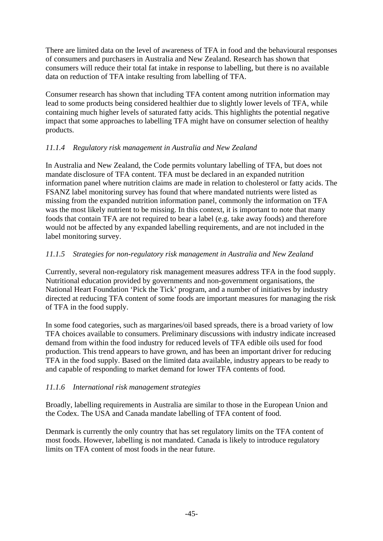There are limited data on the level of awareness of TFA in food and the behavioural responses of consumers and purchasers in Australia and New Zealand. Research has shown that consumers will reduce their total fat intake in response to labelling, but there is no available data on reduction of TFA intake resulting from labelling of TFA.

Consumer research has shown that including TFA content among nutrition information may lead to some products being considered healthier due to slightly lower levels of TFA, while containing much higher levels of saturated fatty acids. This highlights the potential negative impact that some approaches to labelling TFA might have on consumer selection of healthy products.

### *11.1.4 Regulatory risk management in Australia and New Zealand*

In Australia and New Zealand, the Code permits voluntary labelling of TFA, but does not mandate disclosure of TFA content. TFA must be declared in an expanded nutrition information panel where nutrition claims are made in relation to cholesterol or fatty acids. The FSANZ label monitoring survey has found that where mandated nutrients were listed as missing from the expanded nutrition information panel, commonly the information on TFA was the most likely nutrient to be missing. In this context, it is important to note that many foods that contain TFA are not required to bear a label (e.g. take away foods) and therefore would not be affected by any expanded labelling requirements, and are not included in the label monitoring survey.

### *11.1.5 Strategies for non-regulatory risk management in Australia and New Zealand*

Currently, several non-regulatory risk management measures address TFA in the food supply. Nutritional education provided by governments and non-government organisations, the National Heart Foundation 'Pick the Tick' program, and a number of initiatives by industry directed at reducing TFA content of some foods are important measures for managing the risk of TFA in the food supply.

In some food categories, such as margarines/oil based spreads, there is a broad variety of low TFA choices available to consumers. Preliminary discussions with industry indicate increased demand from within the food industry for reduced levels of TFA edible oils used for food production. This trend appears to have grown, and has been an important driver for reducing TFA in the food supply. Based on the limited data available, industry appears to be ready to and capable of responding to market demand for lower TFA contents of food.

### *11.1.6 International risk management strategies*

Broadly, labelling requirements in Australia are similar to those in the European Union and the Codex. The USA and Canada mandate labelling of TFA content of food.

Denmark is currently the only country that has set regulatory limits on the TFA content of most foods. However, labelling is not mandated. Canada is likely to introduce regulatory limits on TFA content of most foods in the near future.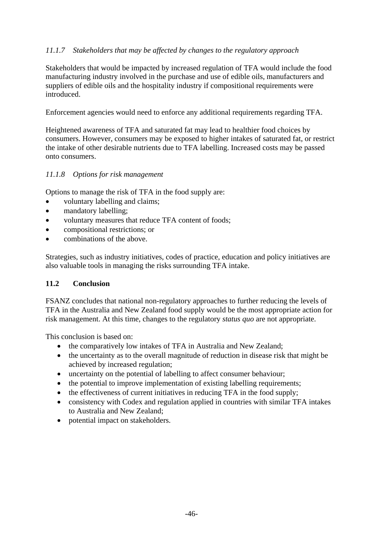### *11.1.7 Stakeholders that may be affected by changes to the regulatory approach*

Stakeholders that would be impacted by increased regulation of TFA would include the food manufacturing industry involved in the purchase and use of edible oils, manufacturers and suppliers of edible oils and the hospitality industry if compositional requirements were introduced.

Enforcement agencies would need to enforce any additional requirements regarding TFA.

Heightened awareness of TFA and saturated fat may lead to healthier food choices by consumers. However, consumers may be exposed to higher intakes of saturated fat, or restrict the intake of other desirable nutrients due to TFA labelling. Increased costs may be passed onto consumers.

### *11.1.8 Options for risk management*

Options to manage the risk of TFA in the food supply are:

- voluntary labelling and claims;
- mandatory labelling;
- voluntary measures that reduce TFA content of foods;
- compositional restrictions; or
- combinations of the above.

Strategies, such as industry initiatives, codes of practice, education and policy initiatives are also valuable tools in managing the risks surrounding TFA intake.

#### **11.2 Conclusion**

FSANZ concludes that national non-regulatory approaches to further reducing the levels of TFA in the Australia and New Zealand food supply would be the most appropriate action for risk management. At this time, changes to the regulatory *status quo* are not appropriate.

This conclusion is based on:

- the comparatively low intakes of TFA in Australia and New Zealand;
- the uncertainty as to the overall magnitude of reduction in disease risk that might be achieved by increased regulation;
- uncertainty on the potential of labelling to affect consumer behaviour;
- the potential to improve implementation of existing labelling requirements;
- the effectiveness of current initiatives in reducing TFA in the food supply;
- consistency with Codex and regulation applied in countries with similar TFA intakes to Australia and New Zealand;
- potential impact on stakeholders.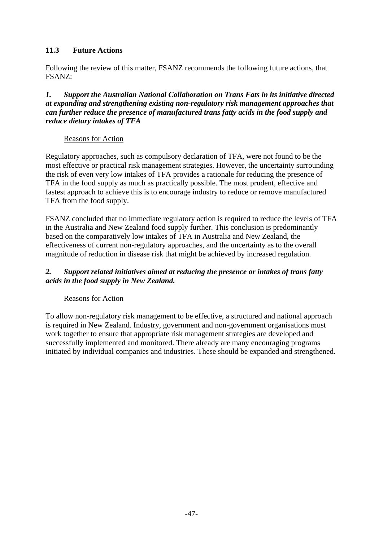### **11.3 Future Actions**

Following the review of this matter, FSANZ recommends the following future actions, that FSANZ:

*1. Support the Australian National Collaboration on Trans Fats in its initiative directed at expanding and strengthening existing non-regulatory risk management approaches that can further reduce the presence of manufactured trans fatty acids in the food supply and reduce dietary intakes of TFA* 

#### Reasons for Action

Regulatory approaches, such as compulsory declaration of TFA, were not found to be the most effective or practical risk management strategies. However, the uncertainty surrounding the risk of even very low intakes of TFA provides a rationale for reducing the presence of TFA in the food supply as much as practically possible. The most prudent, effective and fastest approach to achieve this is to encourage industry to reduce or remove manufactured TFA from the food supply.

FSANZ concluded that no immediate regulatory action is required to reduce the levels of TFA in the Australia and New Zealand food supply further. This conclusion is predominantly based on the comparatively low intakes of TFA in Australia and New Zealand, the effectiveness of current non-regulatory approaches, and the uncertainty as to the overall magnitude of reduction in disease risk that might be achieved by increased regulation.

### *2. Support related initiatives aimed at reducing the presence or intakes of trans fatty acids in the food supply in New Zealand.*

#### Reasons for Action

To allow non-regulatory risk management to be effective, a structured and national approach is required in New Zealand. Industry, government and non-government organisations must work together to ensure that appropriate risk management strategies are developed and successfully implemented and monitored. There already are many encouraging programs initiated by individual companies and industries. These should be expanded and strengthened.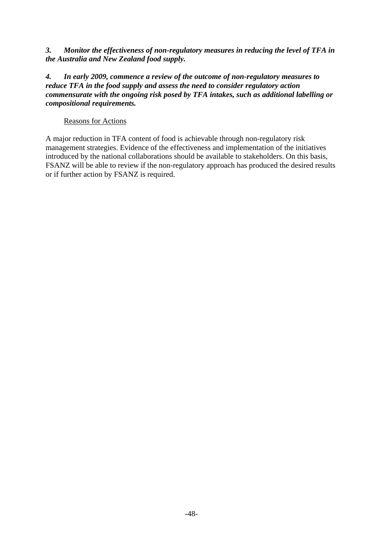*3. Monitor the effectiveness of non-regulatory measures in reducing the level of TFA in the Australia and New Zealand food supply.* 

*4. In early 2009, commence a review of the outcome of non-regulatory measures to reduce TFA in the food supply and assess the need to consider regulatory action commensurate with the ongoing risk posed by TFA intakes, such as additional labelling or compositional requirements.* 

#### Reasons for Actions

A major reduction in TFA content of food is achievable through non-regulatory risk management strategies. Evidence of the effectiveness and implementation of the initiatives introduced by the national collaborations should be available to stakeholders. On this basis, FSANZ will be able to review if the non-regulatory approach has produced the desired results or if further action by FSANZ is required.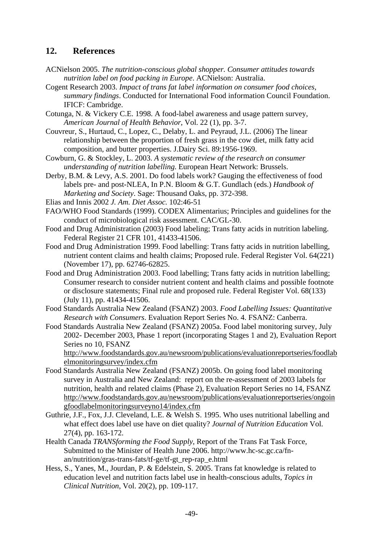### **12. References**

- ACNielson 2005. *The nutrition-conscious global shopper. Consumer attitudes towards nutrition label on food packing in Europe*. ACNielson: Australia.
- Cogent Research 2003. *Impact of trans fat label information on consumer food choices, summary findings*. Conducted for International Food information Council Foundation. IFICF: Cambridge.
- Cotunga, N. & Vickery C.E. 1998. A food-label awareness and usage pattern survey, *American Journal of Health Behavior*, Vol. 22 (1), pp. 3-7.
- Couvreur, S., Hurtaud, C., Lopez, C., Delaby, L. and Peyraud, J.L. (2006) The linear relationship between the proportion of fresh grass in the cow diet, milk fatty acid composition, and butter properties. J.Dairy Sci. 89:1956-1969.
- Cowburn, G. & Stockley, L. 2003. *A systematic review of the research on consumer understanding of nutrition labelling.* European Heart Network: Brussels.
- Derby, B.M. & Levy, A.S. 2001. Do food labels work? Gauging the effectiveness of food labels pre- and post-NLEA, In P.N. Bloom & G.T. Gundlach (eds.) *Handbook of Marketing and Society*. Sage: Thousand Oaks, pp. 372-398.

Elias and Innis 2002 *J. Am. Diet Assoc.* 102:46-51

- FAO/WHO Food Standards (1999). CODEX Alimentarius; Principles and guidelines for the conduct of microbiological risk assessment. CAC/GL-30.
- Food and Drug Administration (2003) Food labeling; Trans fatty acids in nutrition labeling. Federal Register 21 CFR 101, 41433-41506.
- Food and Drug Administration 1999. Food labelling: Trans fatty acids in nutrition labelling, nutrient content claims and health claims; Proposed rule. Federal Register Vol. 64(221) (November 17), pp. 62746-62825.
- Food and Drug Administration 2003. Food labelling; Trans fatty acids in nutrition labelling; Consumer research to consider nutrient content and health claims and possible footnote or disclosure statements; Final rule and proposed rule. Federal Register Vol. 68(133) (July 11), pp. 41434-41506.
- Food Standards Australia New Zealand (FSANZ) 2003. *Food Labelling Issues: Quantitative Research with Consumers*. Evaluation Report Series No. 4. FSANZ: Canberra.
- Food Standards Australia New Zealand (FSANZ) 2005a. Food label monitoring survey, July 2002- December 2003, Phase 1 report (incorporating Stages 1 and 2), Evaluation Report Series no 10, FSANZ

http://www.foodstandards.gov.au/newsroom/publications/evaluationreportseries/foodlab elmonitoringsurvey/index.cfm

- Food Standards Australia New Zealand (FSANZ) 2005b. On going food label monitoring survey in Australia and New Zealand: report on the re-assessment of 2003 labels for nutrition, health and related claims (Phase 2), Evaluation Report Series no 14, FSANZ http://www.foodstandards.gov.au/newsroom/publications/evaluationreportseries/ongoin gfoodlabelmonitoringsurveyno14/index.cfm
- Guthrie, J.F., Fox, J.J. Cleveland, L.E. & Welsh S. 1995. Who uses nutritional labelling and what effect does label use have on diet quality? *Journal of Nutrition Education* Vol. 27(4), pp. 163-172.
- Health Canada *TRANSforming the Food Supply*, Report of the Trans Fat Task Force, Submitted to the Minister of Health June 2006. http://www.hc-sc.gc.ca/fnan/nutrition/gras-trans-fats/tf-ge/tf-gt\_rep-rap\_e.html
- Hess, S., Yanes, M., Jourdan, P. & Edelstein, S. 2005. Trans fat knowledge is related to education level and nutrition facts label use in health-conscious adults, *Topics in Clinical Nutrition*, Vol. 20(2), pp. 109-117.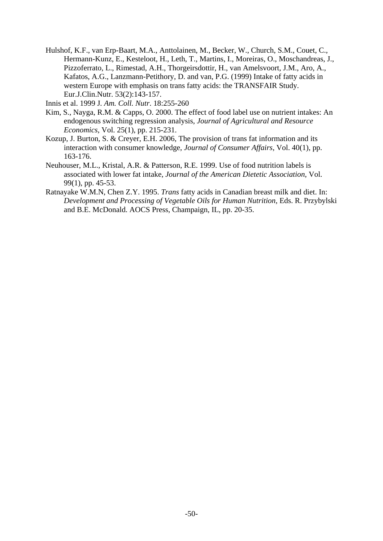Hulshof, K.F., van Erp-Baart, M.A., Anttolainen, M., Becker, W., Church, S.M., Couet, C., Hermann-Kunz, E., Kesteloot, H., Leth, T., Martins, I., Moreiras, O., Moschandreas, J., Pizzoferrato, L., Rimestad, A.H., Thorgeirsdottir, H., van Amelsvoort, J.M., Aro, A., Kafatos, A.G., Lanzmann-Petithory, D. and van, P.G. (1999) Intake of fatty acids in western Europe with emphasis on trans fatty acids: the TRANSFAIR Study. Eur.J.Clin.Nutr. 53(2):143-157.

Innis et al. 1999 J*. Am. Coll. Nutr*. 18:255-260

- Kim, S., Nayga, R.M. & Capps, O. 2000. The effect of food label use on nutrient intakes: An endogenous switching regression analysis, *Journal of Agricultural and Resource Economics*, Vol. 25(1), pp. 215-231.
- Kozup, J. Burton, S. & Creyer, E.H. 2006, The provision of trans fat information and its interaction with consumer knowledge, *Journal of Consumer Affairs*, Vol. 40(1), pp. 163-176.
- Neuhouser, M.L., Kristal, A.R. & Patterson, R.E. 1999. Use of food nutrition labels is associated with lower fat intake, *Journal of the American Dietetic Association*, Vol. 99(1), pp. 45-53.
- Ratnayake W.M.N, Chen Z.Y. 1995. *Trans* fatty acids in Canadian breast milk and diet. In: *Development and Processing of Vegetable Oils for Human Nutrition*, Eds. R. Przybylski and B.E. McDonald. AOCS Press, Champaign, IL, pp. 20-35.